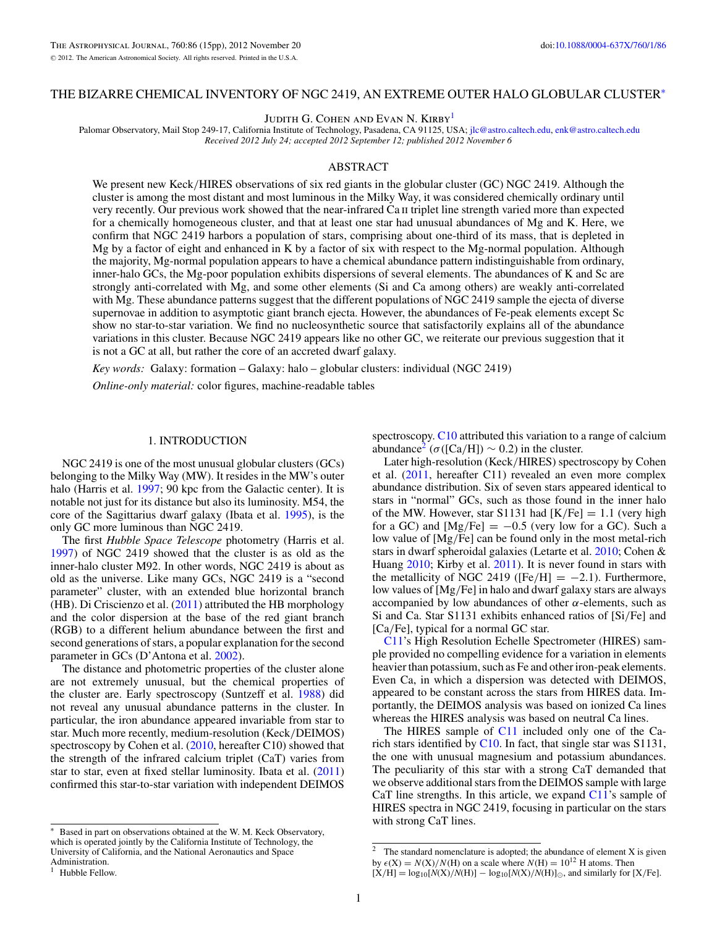## THE BIZARRE CHEMICAL INVENTORY OF NGC 2419, AN EXTREME OUTER HALO GLOBULAR CLUSTER<sup>∗</sup>

JUDITH G. COHEN AND EVAN N. KIRBY<sup>1</sup>

Palomar Observatory, Mail Stop 249-17, California Institute of Technology, Pasadena, CA 91125, USA; [jlc@astro.caltech.edu,](mailto:jlc@astro.caltech.edu) [enk@astro.caltech.edu](mailto:enk@astro.caltech.edu) *Received 2012 July 24; accepted 2012 September 12; published 2012 November 6*

## ABSTRACT

We present new Keck*/*HIRES observations of six red giants in the globular cluster (GC) NGC 2419. Although the cluster is among the most distant and most luminous in the Milky Way, it was considered chemically ordinary until very recently. Our previous work showed that the near-infrared Ca ii triplet line strength varied more than expected for a chemically homogeneous cluster, and that at least one star had unusual abundances of Mg and K. Here, we confirm that NGC 2419 harbors a population of stars, comprising about one-third of its mass, that is depleted in Mg by a factor of eight and enhanced in K by a factor of six with respect to the Mg-normal population. Although the majority, Mg-normal population appears to have a chemical abundance pattern indistinguishable from ordinary, inner-halo GCs, the Mg-poor population exhibits dispersions of several elements. The abundances of K and Sc are strongly anti-correlated with Mg, and some other elements (Si and Ca among others) are weakly anti-correlated with Mg. These abundance patterns suggest that the different populations of NGC 2419 sample the ejecta of diverse supernovae in addition to asymptotic giant branch ejecta. However, the abundances of Fe-peak elements except Sc show no star-to-star variation. We find no nucleosynthetic source that satisfactorily explains all of the abundance variations in this cluster. Because NGC 2419 appears like no other GC, we reiterate our previous suggestion that it is not a GC at all, but rather the core of an accreted dwarf galaxy.

*Key words:* Galaxy: formation – Galaxy: halo – globular clusters: individual (NGC 2419)

*Online-only material:* color figures, machine-readable tables

### 1. INTRODUCTION

NGC 2419 is one of the most unusual globular clusters (GCs) belonging to the Milky Way (MW). It resides in the MW's outer halo (Harris et al. [1997;](#page-14-0) 90 kpc from the Galactic center). It is notable not just for its distance but also its luminosity. M54, the core of the Sagittarius dwarf galaxy (Ibata et al. [1995\)](#page-14-0), is the only GC more luminous than NGC 2419.

The first *Hubble Space Telescope* photometry (Harris et al. [1997\)](#page-14-0) of NGC 2419 showed that the cluster is as old as the inner-halo cluster M92. In other words, NGC 2419 is about as old as the universe. Like many GCs, NGC 2419 is a "second parameter" cluster, with an extended blue horizontal branch (HB). Di Criscienzo et al. [\(2011\)](#page-14-0) attributed the HB morphology and the color dispersion at the base of the red giant branch (RGB) to a different helium abundance between the first and second generations of stars, a popular explanation for the second parameter in GCs (D'Antona et al. [2002\)](#page-14-0).

The distance and photometric properties of the cluster alone are not extremely unusual, but the chemical properties of the cluster are. Early spectroscopy (Suntzeff et al. [1988\)](#page-14-0) did not reveal any unusual abundance patterns in the cluster. In particular, the iron abundance appeared invariable from star to star. Much more recently, medium-resolution (Keck*/*DEIMOS) spectroscopy by Cohen et al. [\(2010,](#page-14-0) hereafter C10) showed that the strength of the infrared calcium triplet (CaT) varies from star to star, even at fixed stellar luminosity. Ibata et al. [\(2011\)](#page-14-0) confirmed this star-to-star variation with independent DEIMOS

spectroscopy. [C10](#page-14-0) attributed this variation to a range of calcium abundance<sup>2</sup> ( $\sigma$ ([Ca/H])  $\sim$  0.2) in the cluster.

Later high-resolution (Keck*/*HIRES) spectroscopy by Cohen et al. [\(2011,](#page-14-0) hereafter C11) revealed an even more complex abundance distribution. Six of seven stars appeared identical to stars in "normal" GCs, such as those found in the inner halo of the MW. However, star S1131 had  $[K/Fe] = 1.1$  (very high for a GC) and  $[Mg/Fe] = -0.5$  (very low for a GC). Such a low value of [Mg*/*Fe] can be found only in the most metal-rich stars in dwarf spheroidal galaxies (Letarte et al. [2010;](#page-14-0) Cohen & Huang [2010;](#page-14-0) Kirby et al. [2011\)](#page-14-0). It is never found in stars with the metallicity of NGC 2419 ( $[Fe/H] = -2.1$ ). Furthermore, low values of [Mg*/*Fe] in halo and dwarf galaxy stars are always accompanied by low abundances of other  $\alpha$ -elements, such as Si and Ca. Star S1131 exhibits enhanced ratios of [Si*/*Fe] and [Ca*/*Fe], typical for a normal GC star.

[C11'](#page-14-0)s High Resolution Echelle Spectrometer (HIRES) sample provided no compelling evidence for a variation in elements heavier than potassium, such as Fe and other iron-peak elements. Even Ca, in which a dispersion was detected with DEIMOS, appeared to be constant across the stars from HIRES data. Importantly, the DEIMOS analysis was based on ionized Ca lines whereas the HIRES analysis was based on neutral Ca lines.

The HIRES sample of [C11](#page-14-0) included only one of the Carich stars identified by  $C10$ . In fact, that single star was  $S1131$ , the one with unusual magnesium and potassium abundances. The peculiarity of this star with a strong CaT demanded that we observe additional stars from the DEIMOS sample with large CaT line strengths. In this article, we expand [C11'](#page-14-0)s sample of HIRES spectra in NGC 2419, focusing in particular on the stars with strong CaT lines.

<sup>∗</sup> Based in part on observations obtained at the W. M. Keck Observatory, which is operated jointly by the California Institute of Technology, the University of California, and the National Aeronautics and Space Administration.

<sup>&</sup>lt;sup>1</sup> Hubble Fellow.

<sup>&</sup>lt;sup>2</sup> The standard nomenclature is adopted; the abundance of element X is given by  $\epsilon$ (X) = *N*(X)/*N*(H) on a scale where *N*(H) = 10<sup>12</sup> H atoms. Then

 $[X/H] = \log_{10}[N(X)/N(H)] - \log_{10}[N(X)/N(H)]_{\odot}$ , and similarly for [X/Fe].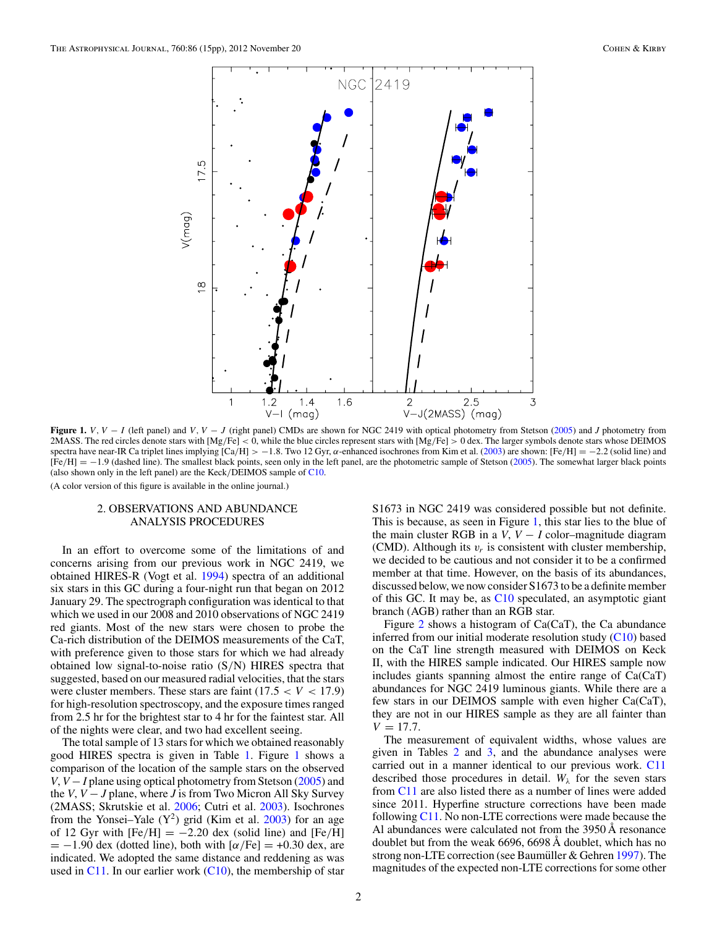<span id="page-1-0"></span>

**Figure 1.** *V*, *V* − *I* (left panel) and *V*, *V* − *J* (right panel) CMDs are shown for NGC 2419 with optical photometry from Stetson [\(2005\)](#page-14-0) and *J* photometry from 2MASS. The red circles denote stars with [Mg*/*Fe] *<* 0, while the blue circles represent stars with [Mg*/*Fe] *>* 0 dex. The larger symbols denote stars whose DEIMOS spectra have near-IR Ca triplet lines implying  $\left[ Ca/H \right] > -1.8$ . Two 12 Gyr, *α*-enhanced isochrones from Kim et al. [\(2003\)](#page-14-0) are shown:  $\left[ Fe/H \right] = -2.2$  (solid line) and [Fe*/*H] = −1*.*9 (dashed line). The smallest black points, seen only in the left panel, are the photometric sample of Stetson [\(2005\)](#page-14-0). The somewhat larger black points (also shown only in the left panel) are the Keck*/*DEIMOS sample of [C10.](#page-14-0)

(A color version of this figure is available in the online journal.)

## 2. OBSERVATIONS AND ABUNDANCE ANALYSIS PROCEDURES

In an effort to overcome some of the limitations of and concerns arising from our previous work in NGC 2419, we obtained HIRES-R (Vogt et al. [1994\)](#page-14-0) spectra of an additional six stars in this GC during a four-night run that began on 2012 January 29. The spectrograph configuration was identical to that which we used in our 2008 and 2010 observations of NGC 2419 red giants. Most of the new stars were chosen to probe the Ca-rich distribution of the DEIMOS measurements of the CaT, with preference given to those stars for which we had already obtained low signal-to-noise ratio (S*/*N) HIRES spectra that suggested, based on our measured radial velocities, that the stars were cluster members. These stars are faint  $(17.5 < V < 17.9)$ for high-resolution spectroscopy, and the exposure times ranged from 2.5 hr for the brightest star to 4 hr for the faintest star. All of the nights were clear, and two had excellent seeing.

The total sample of 13 stars for which we obtained reasonably good HIRES spectra is given in Table [1.](#page-2-0) Figure 1 shows a comparison of the location of the sample stars on the observed *V*, *V* − *I* plane using optical photometry from Stetson [\(2005\)](#page-14-0) and the *V*, *V* − *J* plane, where *J* is from Two Micron All Sky Survey (2MASS; Skrutskie et al. [2006;](#page-14-0) Cutri et al. [2003\)](#page-14-0). Isochrones from the Yonsei–Yale  $(Y^2)$  grid (Kim et al. [2003\)](#page-14-0) for an age of 12 Gyr with  $[Fe/H] = -2.20$  dex (solid line) and  $[Fe/H]$  $= -1.90$  dex (dotted line), both with  $\alpha$ /Fe]  $= +0.30$  dex, are indicated. We adopted the same distance and reddening as was used in  $C11$ . In our earlier work  $(C10)$ , the membership of star

S1673 in NGC 2419 was considered possible but not definite. This is because, as seen in Figure 1, this star lies to the blue of the main cluster RGB in a  $V$ ,  $V - I$  color–magnitude diagram (CMD). Although its  $v_r$  is consistent with cluster membership, we decided to be cautious and not consider it to be a confirmed member at that time. However, on the basis of its abundances, discussed below, we now consider S1673 to be a definite member of this GC. It may be, as [C10](#page-14-0) speculated, an asymptotic giant branch (AGB) rather than an RGB star.

Figure [2](#page-2-0) shows a histogram of Ca(CaT), the Ca abundance inferred from our initial moderate resolution study  $(C10)$  based on the CaT line strength measured with DEIMOS on Keck II, with the HIRES sample indicated. Our HIRES sample now includes giants spanning almost the entire range of Ca(CaT) abundances for NGC 2419 luminous giants. While there are a few stars in our DEIMOS sample with even higher Ca(CaT), they are not in our HIRES sample as they are all fainter than  $V = 17.7.$ 

The measurement of equivalent widths, whose values are given in Tables [2](#page-2-0) and [3,](#page-3-0) and the abundance analyses were carried out in a manner identical to our previous work. [C11](#page-14-0) described those procedures in detail.  $W_{\lambda}$  for the seven stars from [C11](#page-14-0) are also listed there as a number of lines were added since 2011. Hyperfine structure corrections have been made following [C11.](#page-14-0) No non-LTE corrections were made because the Al abundances were calculated not from the 3950 Å resonance doublet but from the weak 6696, 6698 Å doublet, which has no strong non-LTE correction (see Baumüller  $&$  Gehren [1997\)](#page-13-0). The magnitudes of the expected non-LTE corrections for some other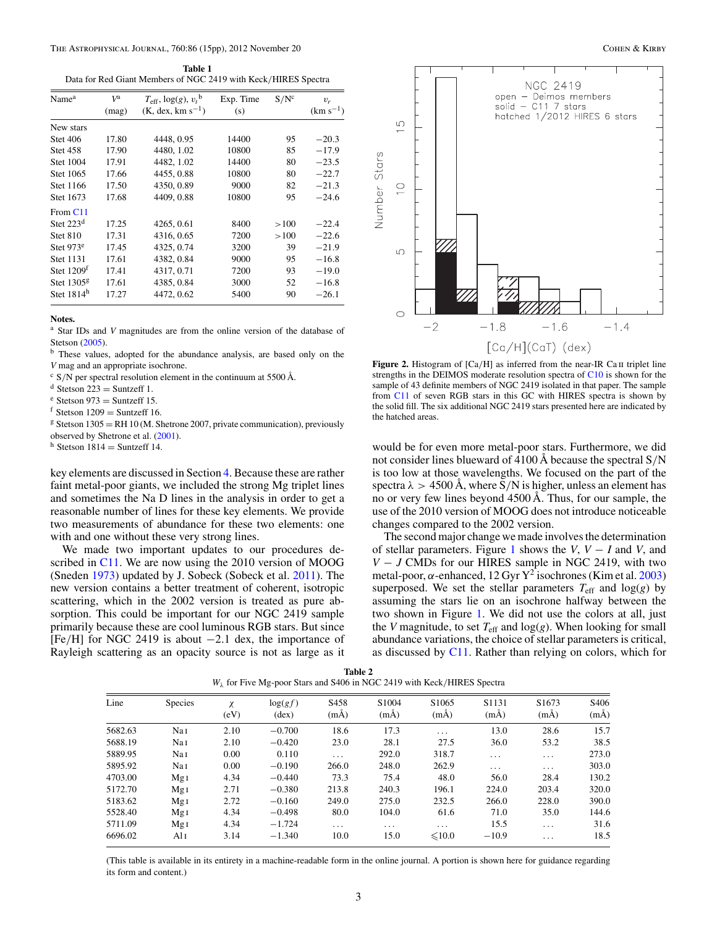<span id="page-2-0"></span>

| Table 1                                                        |
|----------------------------------------------------------------|
| Data for Red Giant Members of NGC 2419 with Keck/HIRES Spectra |

| Name <sup>a</sup>     | $V^{\rm a}$ | $T_{\text{eff}}$ , $\log(g)$ , $v_t$ <sup>b</sup> | Exp. Time | $S/N^c$ | $v_r$         |
|-----------------------|-------------|---------------------------------------------------|-----------|---------|---------------|
|                       | (mag)       | $(K, dex, km s^{-1})$                             | (s)       |         | $(km s^{-1})$ |
| New stars             |             |                                                   |           |         |               |
| <b>Stet 406</b>       | 17.80       | 4448, 0.95                                        | 14400     | 95      | $-20.3$       |
| <b>Stet 458</b>       | 17.90       | 4480, 1.02                                        | 10800     | 85      | $-17.9$       |
| Stet 1004             | 17.91       | 4482, 1.02                                        | 14400     | 80      | $-23.5$       |
| Stet 1065             | 17.66       | 4455, 0.88                                        | 10800     | 80      | $-22.7$       |
| Stet 1166             | 17.50       | 4350, 0.89                                        | 9000      | 82      | $-21.3$       |
| Stet 1673             | 17.68       | 4409, 0.88                                        | 10800     | 95      | $-24.6$       |
| From C <sub>11</sub>  |             |                                                   |           |         |               |
| Stet $223d$           | 17.25       | 4265, 0.61                                        | 8400      | >100    | $-22.4$       |
| <b>Stet 810</b>       | 17.31       | 4316, 0.65                                        | 7200      | >100    | $-22.6$       |
| Stet 973 <sup>e</sup> | 17.45       | 4325, 0.74                                        | 3200      | 39      | $-21.9$       |
| <b>Stet 1131</b>      | 17.61       | 4382, 0.84                                        | 9000      | 95      | $-16.8$       |
| Stet $1209t$          | 17.41       | 4317, 0.71                                        | 7200      | 93      | $-19.0$       |
| Stet $1305g$          | 17.61       | 4385, 0.84                                        | 3000      | 52      | $-16.8$       |
| Stet $1814h$          | 17.27       | 4472, 0.62                                        | 5400      | 90      | $-26.1$       |

<sup>a</sup> Star IDs and *V* magnitudes are from the online version of the database of Stetson [\(2005\)](#page-14-0).

<sup>b</sup> These values, adopted for the abundance analysis, are based only on the *V* mag and an appropriate isochrone.

<sup>c</sup> S/N per spectral resolution element in the continuum at 5500 Å.<br>d Stetson 223 = Suntzeff 1.

<sup>e</sup> Stetson 973 = Suntzeff 15.<br><sup>f</sup> Stetson 1209 = Suntzeff 16.<br><sup>g</sup> Stetson 1305 = RH 10 (M. Shetrone 2007, private communication), previously observed by Shetrone et al. [\(2001\)](#page-14-0).

h Stetson  $1814 =$  Suntzeff 14.

key elements are discussed in Section [4.](#page-7-0) Because these are rather faint metal-poor giants, we included the strong Mg triplet lines and sometimes the Na D lines in the analysis in order to get a reasonable number of lines for these key elements. We provide two measurements of abundance for these two elements: one with and one without these very strong lines.

We made two important updates to our procedures de-scribed in [C11.](#page-14-0) We are now using the 2010 version of MOOG (Sneden [1973\)](#page-14-0) updated by J. Sobeck (Sobeck et al. [2011\)](#page-14-0). The new version contains a better treatment of coherent, isotropic scattering, which in the 2002 version is treated as pure absorption. This could be important for our NGC 2419 sample primarily because these are cool luminous RGB stars. But since [Fe*/*H] for NGC 2419 is about −2*.*1 dex, the importance of Rayleigh scattering as an opacity source is not as large as it



Figure 2. Histogram of [Ca/H] as inferred from the near-IR Ca II triplet line strengths in the DEIMOS moderate resolution spectra of [C10](#page-14-0) is shown for the sample of 43 definite members of NGC 2419 isolated in that paper. The sample from [C11](#page-14-0) of seven RGB stars in this GC with HIRES spectra is shown by the solid fill. The six additional NGC 2419 stars presented here are indicated by the hatched areas.

would be for even more metal-poor stars. Furthermore, we did not consider lines blueward of 4100 Å because the spectral S*/*N is too low at those wavelengths. We focused on the part of the spectra  $\lambda > 4500$  Å, where S/N is higher, unless an element has no or very few lines beyond 4500 Å. Thus, for our sample, the use of the 2010 version of MOOG does not introduce noticeable changes compared to the 2002 version.

The second major change we made involves the determination of stellar parameters. Figure [1](#page-1-0) shows the *V*, *V* − *I* and *V*, and *V* − *J* CMDs for our HIRES sample in NGC 2419, with two metal-poor,  $\alpha$ -enhanced, 12 Gyr Y<sup>2</sup> isochrones (Kim et al. [2003\)](#page-14-0) superposed. We set the stellar parameters  $T_{\text{eff}}$  and log(*g*) by assuming the stars lie on an isochrone halfway between the two shown in Figure [1.](#page-1-0) We did not use the colors at all, just the *V* magnitude, to set  $T_{\text{eff}}$  and  $\log(g)$ . When looking for small abundance variations, the choice of stellar parameters is critical, as discussed by [C11.](#page-14-0) Rather than relying on colors, which for

| Table 2                                                                           |  |
|-----------------------------------------------------------------------------------|--|
| $W_{\lambda}$ for Five Mg-poor Stars and S406 in NGC 2419 with Keck/HIRES Spectra |  |

| Line    | <b>Species</b>  | $\chi$<br>(eV) | log(gf)<br>$(\text{dex})$ | S <sub>458</sub><br>$(m\AA)$ | S <sub>1004</sub><br>$(m\AA)$ | S <sub>1065</sub><br>$(m\AA)$ | S <sub>1131</sub><br>$(m\AA)$ | S <sub>1673</sub><br>$(m\AA)$ | S <sub>406</sub><br>$(m\AA)$ |
|---------|-----------------|----------------|---------------------------|------------------------------|-------------------------------|-------------------------------|-------------------------------|-------------------------------|------------------------------|
| 5682.63 | Nai             | 2.10           | $-0.700$                  | 18.6                         | 17.3                          | $\cdots$                      | 13.0                          | 28.6                          | 15.7                         |
| 5688.19 | Nai             | 2.10           | $-0.420$                  | 23.0                         | 28.1                          | 27.5                          | 36.0                          | 53.2                          | 38.5                         |
| 5889.95 | Nai             | 0.00           | 0.110                     | .                            | 292.0                         | 318.7                         | $\cdots$                      | $\cdots$                      | 273.0                        |
| 5895.92 | Nai             | 0.00           | $-0.190$                  | 266.0                        | 248.0                         | 262.9                         | $\cdots$                      | $\cdots$                      | 303.0                        |
| 4703.00 | Mg <sub>I</sub> | 4.34           | $-0.440$                  | 73.3                         | 75.4                          | 48.0                          | 56.0                          | 28.4                          | 130.2                        |
| 5172.70 | Mg <sub>I</sub> | 2.71           | $-0.380$                  | 213.8                        | 240.3                         | 196.1                         | 224.0                         | 203.4                         | 320.0                        |
| 5183.62 | Mg <sub>I</sub> | 2.72           | $-0.160$                  | 249.0                        | 275.0                         | 232.5                         | 266.0                         | 228.0                         | 390.0                        |
| 5528.40 | Mg <sub>I</sub> | 4.34           | $-0.498$                  | 80.0                         | 104.0                         | 61.6                          | 71.0                          | 35.0                          | 144.6                        |
| 5711.09 | Mg <sub>I</sub> | 4.34           | $-1.724$                  | $\cdots$                     | $\cdots$                      | $\cdots$                      | 15.5                          | $\cdots$                      | 31.6                         |
| 6696.02 | Al 1            | 3.14           | $-1.340$                  | 10.0                         | 15.0                          | $\leq 10.0$                   | $-10.9$                       | .                             | 18.5                         |
|         |                 |                |                           |                              |                               |                               |                               |                               |                              |

(This table is available in its entirety in a machine-readable form in the online journal. A portion is shown here for guidance regarding its form and content.)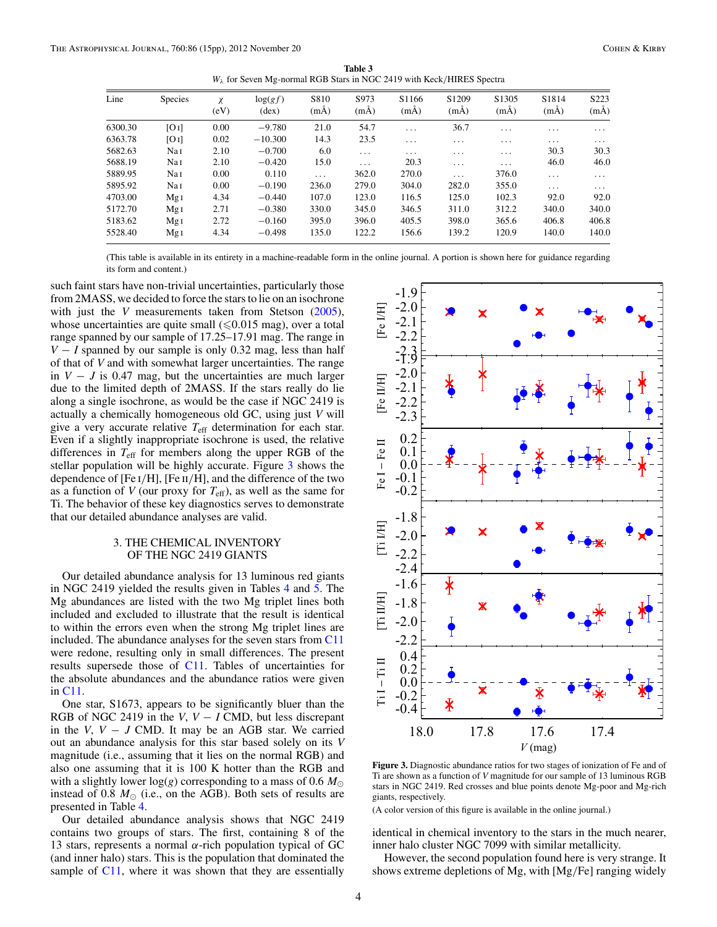**Table 3** *Wλ* for Seven Mg-normal RGB Stars in NGC 2419 with Keck*/*HIRES Spectra

<span id="page-3-0"></span>

| Line    | <b>Species</b>  | $\chi$<br>(eV) | log(gf)<br>$(\text{dex})$ | S810<br>$(m\AA)$ | S973<br>$(m\AA)$ | S <sub>1166</sub><br>$(m\AA)$ | S <sub>1209</sub><br>$(m\AA)$ | S <sub>1305</sub><br>$(m\AA)$ | S <sub>1814</sub><br>$(m\AA)$ | S <sub>223</sub><br>$(m\AA)$ |
|---------|-----------------|----------------|---------------------------|------------------|------------------|-------------------------------|-------------------------------|-------------------------------|-------------------------------|------------------------------|
| 6300.30 | [O I]           | 0.00           | $-9.780$                  | 21.0             | 54.7             | $\cdots$                      | 36.7                          | $\cdot$ $\cdot$ $\cdot$       | $\cdots$                      | $\cdots$                     |
| 6363.78 | [O I]           | 0.02           | $-10.300$                 | 14.3             | 23.5             | $\cdots$                      | $\cdot$                       | $\cdots$                      | $\cdot$                       | $\cdot$                      |
| 5682.63 | Nai             | 2.10           | $-0.700$                  | 6.0              | $\cdots$         | $\cdot$ $\cdot$ $\cdot$       | $\cdot$ $\cdot$ $\cdot$       | $\cdots$                      | 30.3                          | 30.3                         |
| 5688.19 | Nai             | 2.10           | $-0.420$                  | 15.0             | $\cdots$         | 20.3                          | $\cdots$                      | $\cdots$                      | 46.0                          | 46.0                         |
| 5889.95 | Nai             | 0.00           | 0.110                     | $\cdots$         | 362.0            | 270.0                         | $\cdots$                      | 376.0                         | $\cdots$                      | $\cdots$                     |
| 5895.92 | Nai             | 0.00           | $-0.190$                  | 236.0            | 279.0            | 304.0                         | 282.0                         | 355.0                         | $\cdots$                      | $\cdots$                     |
| 4703.00 | Mg <sub>I</sub> | 4.34           | $-0.440$                  | 107.0            | 123.0            | 116.5                         | 125.0                         | 102.3                         | 92.0                          | 92.0                         |
| 5172.70 | Mg <sub>I</sub> | 2.71           | $-0.380$                  | 330.0            | 345.0            | 346.5                         | 311.0                         | 312.2                         | 340.0                         | 340.0                        |
| 5183.62 | Mg <sub>I</sub> | 2.72           | $-0.160$                  | 395.0            | 396.0            | 405.5                         | 398.0                         | 365.6                         | 406.8                         | 406.8                        |
| 5528.40 | MgI             | 4.34           | $-0.498$                  | 135.0            | 122.2            | 156.6                         | 139.2                         | 120.9                         | 140.0                         | 140.0                        |
|         |                 |                |                           |                  |                  |                               |                               |                               |                               |                              |

(This table is available in its entirety in a machine-readable form in the online journal. A portion is shown here for guidance regarding its form and content.)

such faint stars have non-trivial uncertainties, particularly those from 2MASS, we decided to force the stars to lie on an isochrone with just the *V* measurements taken from Stetson [\(2005\)](#page-14-0), whose uncertainties are quite small ( $\leq 0.015$  mag), over a total range spanned by our sample of 17.25–17.91 mag. The range in *V* − *I* spanned by our sample is only 0.32 mag, less than half of that of *V* and with somewhat larger uncertainties. The range in  $V - J$  is 0.47 mag, but the uncertainties are much larger due to the limited depth of 2MASS. If the stars really do lie along a single isochrone, as would be the case if NGC 2419 is actually a chemically homogeneous old GC, using just *V* will give a very accurate relative *T*eff determination for each star. Even if a slightly inappropriate isochrone is used, the relative differences in  $T_{\text{eff}}$  for members along the upper RGB of the stellar population will be highly accurate. Figure 3 shows the dependence of [Fe i*/*H], [Fe ii*/*H], and the difference of the two as a function of  $V$  (our proxy for  $T_{\text{eff}}$ ), as well as the same for Ti. The behavior of these key diagnostics serves to demonstrate that our detailed abundance analyses are valid.

## 3. THE CHEMICAL INVENTORY OF THE NGC 2419 GIANTS

Our detailed abundance analysis for 13 luminous red giants in NGC 2419 yielded the results given in Tables [4](#page-4-0) and [5.](#page-5-0) The Mg abundances are listed with the two Mg triplet lines both included and excluded to illustrate that the result is identical to within the errors even when the strong Mg triplet lines are included. The abundance analyses for the seven stars from [C11](#page-14-0) were redone, resulting only in small differences. The present results supersede those of [C11.](#page-14-0) Tables of uncertainties for the absolute abundances and the abundance ratios were given in [C11.](#page-14-0)

One star, S1673, appears to be significantly bluer than the RGB of NGC 2419 in the *V*, *V* − *I* CMD, but less discrepant in the  $V, V - J$  CMD. It may be an AGB star. We carried out an abundance analysis for this star based solely on its *V* magnitude (i.e., assuming that it lies on the normal RGB) and also one assuming that it is 100 K hotter than the RGB and with a slightly lower  $log(g)$  corresponding to a mass of 0.6  $M_{\odot}$ instead of 0.8  $M_{\odot}$  (i.e., on the AGB). Both sets of results are presented in Table [4.](#page-4-0)

Our detailed abundance analysis shows that NGC 2419 contains two groups of stars. The first, containing 8 of the 13 stars, represents a normal *α*-rich population typical of GC (and inner halo) stars. This is the population that dominated the sample of [C11,](#page-14-0) where it was shown that they are essentially



**Figure 3.** Diagnostic abundance ratios for two stages of ionization of Fe and of Ti are shown as a function of *V* magnitude for our sample of 13 luminous RGB stars in NGC 2419. Red crosses and blue points denote Mg-poor and Mg-rich giants, respectively.

(A color version of this figure is available in the online journal.)

identical in chemical inventory to the stars in the much nearer, inner halo cluster NGC 7099 with similar metallicity.

However, the second population found here is very strange. It shows extreme depletions of Mg, with [Mg*/*Fe] ranging widely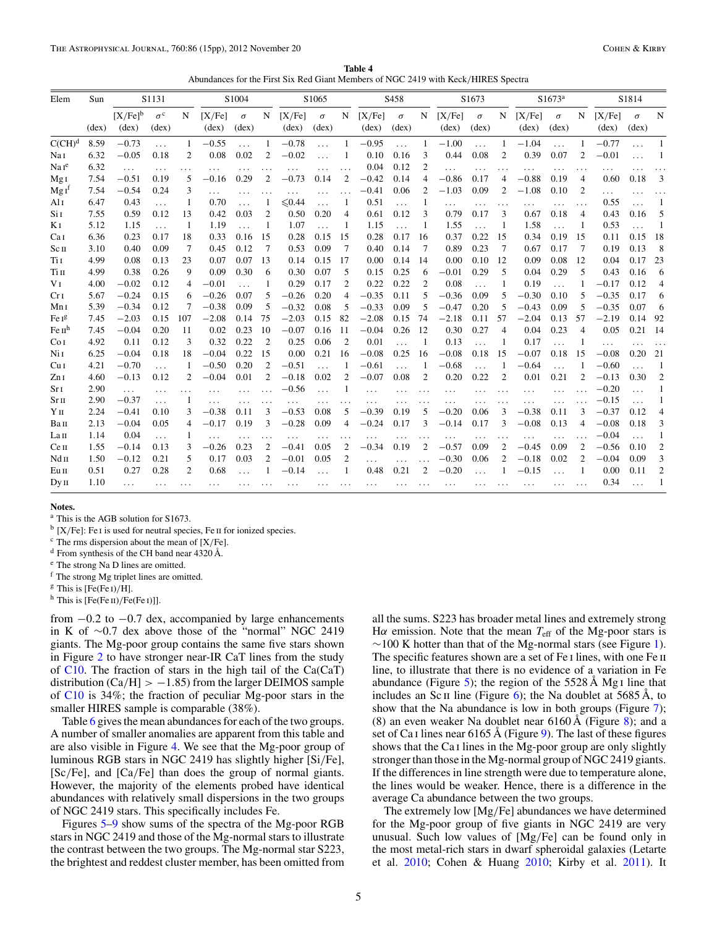**Table 4** Abundances for the First Six Red Giant Members of NGC 2419 with Keck*/*HIRES Spectra

<span id="page-4-0"></span>

| Elem                         | Sun            |                                | S1131                              |                |                 | S1004                      |                |                          | S1065                      |                |                          | S <sub>458</sub>  |                |                 | S1673                      |                |                 | S1673 <sup>a</sup>         |                |                          | S1814                      |                |
|------------------------------|----------------|--------------------------------|------------------------------------|----------------|-----------------|----------------------------|----------------|--------------------------|----------------------------|----------------|--------------------------|-------------------|----------------|-----------------|----------------------------|----------------|-----------------|----------------------------|----------------|--------------------------|----------------------------|----------------|
|                              | $(\text{dex})$ | $[X/Fe]$ <sup>b</sup><br>(dex) | $\sigma^{\rm c}$<br>$(\text{dex})$ | N              | [X/Fe]<br>(dex) | $\sigma$<br>$(\text{dex})$ | N              | [X/Fe]<br>$(\text{dex})$ | $\sigma$<br>$(\text{dex})$ | N              | [X/Fe]<br>$(\text{dex})$ | $\sigma$<br>(dex) | N              | [X/Fe]<br>(dex) | $\sigma$<br>$(\text{dex})$ | N              | [X/Fe]<br>(dex) | $\sigma$<br>$(\text{dex})$ | N              | [X/Fe]<br>$(\text{dex})$ | $\sigma$<br>$(\text{dex})$ | N              |
| $C(CH)^d$                    | 8.59           | $-0.73$                        | $\cdots$                           |                | $-0.55$         | $\cdots$                   | $\mathbf{1}$   | $-0.78$                  | $\ddotsc$                  |                | $-0.95$                  | $\cdots$          |                | $-1.00$         | $\cdots$                   | 1              | $-1.04$         | $\cdots$                   |                | $-0.77$                  | $\cdots$                   |                |
| Nai                          | 6.32           | $-0.05$                        | 0.18                               | $\overline{2}$ | 0.08            | 0.02                       | $\overline{c}$ | $-0.02$                  |                            |                | 0.10                     | 0.16              | 3              | 0.44            | 0.08                       | $\overline{2}$ | 0.39            | 0.07                       | $\overline{c}$ | $-0.01$                  |                            |                |
| Naf <sup>e</sup>             | 6.32           | $\cdots$                       | $\cdots$                           | .              | $\cdots$        | .                          |                |                          |                            |                | 0.04                     | 0.12              | $\overline{2}$ | .               | .                          |                | .               | $\cdots$                   |                | $\cdots$                 |                            |                |
| MgI                          | 7.54           | $-0.51$                        | 0.19                               | 5              | $-0.16$         | 0.29                       | $\overline{2}$ | $-0.73$                  | 0.14                       | $\overline{2}$ | $-0.42$                  | 0.14              | 4              | $-0.86$         | 0.17                       | $\overline{4}$ | $-0.88$         | 0.19                       | $\overline{4}$ | 0.60                     | 0.18                       | 3              |
| $MgI^f$                      | 7.54           | $-0.54$                        | 0.24                               | 3              |                 | $\cdots$                   | .              |                          |                            |                | $-0.41$                  | 0.06              | $\overline{c}$ | $-1.03$         | 0.09                       | $\overline{c}$ | $-1.08$         | 0.10                       | $\overline{c}$ | $\cdots$                 |                            |                |
| Ali                          | 6.47           | 0.43                           | $\cdots$                           |                | 0.70            | .                          |                | ≤ 0.44                   | .                          |                | 0.51                     | $\cdots$          |                |                 | .                          | .              | .               | .                          | $\cdots$       | 0.55                     | .                          |                |
| Si 1                         | 7.55           | 0.59                           | 0.12                               | 13             | 0.42            | 0.03                       | 2              | 0.50                     | 0.20                       | $\overline{4}$ | 0.61                     | 0.12              | 3              | 0.79            | 0.17                       | 3              | 0.67            | 0.18                       | $\overline{4}$ | 0.43                     | 0.16                       | 5              |
| K I                          | 5.12           | 1.15                           | $\cdots$                           | 1              | 1.19            | .                          | 1              | 1.07                     | .                          | 1              | 1.15                     | $\cdots$          |                | 1.55            | $\ddotsc$                  | 1              | 1.58            | .                          | -1             | 0.53                     |                            |                |
| Ca <sub>I</sub>              | 6.36           | 0.23                           | 0.17                               | 18             | 0.33            | 0.16                       | 15             | 0.28                     | 0.15                       | 15             | 0.28                     | 0.17              | 16             | 0.37            | 0.22                       | 15             | 0.34            | 0.19                       | 15             | 0.11                     | 0.15                       | 18             |
| Sc <sub>II</sub>             | 3.10           | 0.40                           | 0.09                               | 7              | 0.45            | 0.12                       | 7              | 0.53                     | 0.09                       | 7              | 0.40                     | 0.14              | 7              | 0.89            | 0.23                       | 7              | 0.67            | 0.17                       | 7              | 0.19                     | 0.13                       | 8              |
| Ti I                         | 4.99           | 0.08                           | 0.13                               | 23             | 0.07            | 0.07                       | 13             | 0.14                     | 0.15                       | 17             | 0.00                     | 0.14              | 14             | 0.00            | 0.10                       | 12             | 0.09            | 0.08                       | 12             | 0.04                     | 0.17                       | 23             |
| Tiп                          | 4.99           | 0.38                           | 0.26                               | 9              | 0.09            | 0.30                       | 6              | 0.30                     | 0.07                       | 5              | 0.15                     | 0.25              | 6              | $-0.01$         | 0.29                       | 5              | 0.04            | 0.29                       | 5              | 0.43                     | 0.16                       | 6              |
| V <sub>I</sub>               | 4.00           | $-0.02$                        | 0.12                               | 4              | $-0.01$         |                            | 1              | 0.29                     | 0.17                       | 2              | 0.22                     | 0.22              | $\overline{2}$ | 0.08            | .                          | 1              | 0.19            | .                          |                | $-0.17$                  | 0.12                       | 4              |
| Cr <sub>I</sub>              | 5.67           | $-0.24$                        | 0.15                               | 6              | $-0.26$         | 0.07                       | 5              | $-0.26$                  | 0.20                       | 4              | $-0.35$                  | 0.11              | 5              | $-0.36$         | 0.09                       | 5              | $-0.30$         | 0.10                       | 5              | $-0.35$                  | 0.17                       | 6              |
| Mn 1                         | 5.39           | $-0.34$                        | 0.12                               | 7              | $-0.38$         | 0.09                       | 5              | $-0.32$                  | 0.08                       | 5              | $-0.33$                  | 0.09              | 5              | $-0.47$         | 0.20                       | 5              | $-0.43$         | 0.09                       | 5              | $-0.35$                  | 0.07                       | 6              |
| Fe Ig                        | 7.45           | $-2.03$                        | 0.15                               | 107            | $-2.08$         | 0.14                       | 75             | $-2.03$                  | 0.15                       | 82             | $-2.08$                  | 0.15              | 74             | $-2.18$         | 0.11                       | 57             | $-2.04$         | 0.13                       | 57             | $-2.19$                  | 0.14                       | 92             |
| Fe $\mathbf{u}^{\mathrm{h}}$ | 7.45           | $-0.04$                        | 0.20                               | 11             | 0.02            | 0.23                       | 10             | $-0.07$                  | 0.16                       | -11            | $-0.04$                  | 0.26              | 12             | 0.30            | 0.27                       | $\overline{4}$ | 0.04            | 0.23                       | $\overline{4}$ | 0.05                     | 0.21                       | - 14           |
| Co <sub>I</sub>              | 4.92           | 0.11                           | 0.12                               | 3              | 0.32            | 0.22                       | $\overline{2}$ | 0.25                     | 0.06                       | $\overline{2}$ | 0.01                     |                   | -1             | 0.13            | $\ddotsc$                  |                | 0.17            | .                          |                | $\cdots$                 |                            |                |
| Ni I                         | 6.25           | $-0.04$                        | 0.18                               | 18             | $-0.04$         | 0.22                       | 15             | 0.00                     | 0.21                       | 16             | $-0.08$                  | 0.25              | 16             | $-0.08$         | 0.18                       | 15             | $-0.07$         | 0.18                       | 15             | $-0.08$                  | 0.20                       | 21             |
| Cu <sub>I</sub>              | 4.21           | $-0.70$                        | .                                  |                | $-0.50$         | 0.20                       | $\overline{2}$ | $-0.51$                  | .                          |                | $-0.61$                  |                   |                | $-0.68$         |                            |                | $-0.64$         | .                          |                | $-0.60$                  |                            |                |
| ZnI                          | 4.60           | $-0.13$                        | 0.12                               | $\overline{c}$ | $-0.04$         | 0.01                       | 2              | $-0.18$                  | 0.02                       | 2              | $-0.07$                  | 0.08              | $\overline{2}$ | 0.20            | 0.22                       | $\overline{2}$ | 0.01            | 0.21                       | $\overline{c}$ | $-0.13$                  | 0.30                       | $\overline{2}$ |
| SrI                          | 2.90           | $\cdots$                       | $\cdots$                           | $\cdots$       | $\cdots$        | .                          |                | $-0.56$                  | $\ddotsc$                  |                | .                        |                   |                |                 |                            |                | .               |                            |                | $-0.20$                  | .                          |                |
| Sr <sub>II</sub>             | 2.90           | $-0.37$                        | $\cdots$                           |                |                 | .                          |                |                          | .                          |                |                          | $\ddotsc$         |                |                 | .                          |                | .               | .                          |                | $-0.15$                  | .                          |                |
| Yц                           | 2.24           | $-0.41$                        | 0.10                               | 3              | $-0.38$         | 0.11                       | 3              | $-0.53$                  | 0.08                       | 5              | $-0.39$                  | 0.19              | 5              | $-0.20$         | 0.06                       | 3              | $-0.38$         | 0.11                       | 3              | $-0.37$                  | 0.12                       | 4              |
| Вап                          | 2.13           | $-0.04$                        | 0.05                               | 4              | $-0.17$         | 0.19                       | 3              | $-0.28$                  | 0.09                       | 4              | $-0.24$                  | 0.17              | 3              | $-0.14$         | 0.17                       | 3              | $-0.08$         | 0.13                       |                | $-0.08$                  | 0.18                       | 3              |
| La <sub>II</sub>             | 1.14           | 0.04                           | $\cdots$                           |                | $\cdots$        |                            | .              |                          |                            |                |                          |                   |                |                 |                            |                |                 |                            |                | $-0.04$                  |                            |                |
| Сеп                          | 1.55           | $-0.14$                        | 0.13                               | 3              | $-0.26$         | 0.23                       | 2              | $-0.41$                  | 0.05                       | $\overline{2}$ | $-0.34$                  | 0.19              | $\overline{2}$ | $-0.57$         | 0.09                       | $\mathfrak{2}$ | $-0.45$         | 0.09                       | $\overline{2}$ | $-0.56$                  | 0.10                       | $\overline{2}$ |
| Ndп                          | 1.50           | $-0.12$                        | 0.21                               | 5              | 0.17            | 0.03                       | 2              | $-0.01$                  | 0.05                       | $\overline{2}$ | .                        |                   |                | $-0.30$         | 0.06                       | $\overline{c}$ | $-0.18$         | 0.02                       | 2              | $-0.04$                  | 0.09                       | 3              |
| Eu II                        | 0.51           | 0.27                           | 0.28                               | $\overline{2}$ | 0.68            |                            |                | $-0.14$                  |                            |                | 0.48                     | 0.21              | $\overline{2}$ | $-0.20$         |                            |                | $-0.15$         |                            |                | 0.00                     | 0.11                       | $\overline{c}$ |
| Dy II                        | 1.10           | $\cdots$                       | $\cdots$                           |                | .               |                            |                |                          |                            |                | .                        |                   |                |                 |                            |                |                 |                            |                | 0.34                     |                            |                |

<sup>a</sup> This is the AGB solution for S1673.

<sup>b</sup> [X/Fe]: Fe I is used for neutral species, Fe II for ionized species.

<sup>c</sup> The rms dispersion about the mean of [X*/*Fe].

<sup>d</sup> From synthesis of the CH band near 4320 Å.

<sup>e</sup> The strong Na D lines are omitted.

<sup>f</sup> The strong Mg triplet lines are omitted.

<sup>g</sup> This is [Fe(Fe i)*/*H].

 $<sup>h</sup>$  This is [Fe(Fe II)/Fe(Fe I)]].</sup>

from −0*.*2 to −0*.*7 dex, accompanied by large enhancements in K of ∼0.7 dex above those of the "normal" NGC 2419 giants. The Mg-poor group contains the same five stars shown in Figure [2](#page-2-0) to have stronger near-IR CaT lines from the study of [C10.](#page-14-0) The fraction of stars in the high tail of the Ca(CaT) distribution (Ca*/*H] *>* −1*.*85) from the larger DEIMOS sample of [C10](#page-14-0) is 34%; the fraction of peculiar Mg-poor stars in the smaller HIRES sample is comparable (38%).

Table [6](#page-6-0) gives the mean abundances for each of the two groups. A number of smaller anomalies are apparent from this table and are also visible in Figure [4.](#page-6-0) We see that the Mg-poor group of luminous RGB stars in NGC 2419 has slightly higher [Si*/*Fe], [Sc*/*Fe], and [Ca*/*Fe] than does the group of normal giants. However, the majority of the elements probed have identical abundances with relatively small dispersions in the two groups of NGC 2419 stars. This specifically includes Fe.

Figures [5–](#page-7-0)[9](#page-9-0) show sums of the spectra of the Mg-poor RGB stars in NGC 2419 and those of the Mg-normal stars to illustrate the contrast between the two groups. The Mg-normal star S223, the brightest and reddest cluster member, has been omitted from

all the sums. S223 has broader metal lines and extremely strong H $\alpha$  emission. Note that the mean  $T_{\text{eff}}$  of the Mg-poor stars is  $~\sim$ 100 K hotter than that of the Mg-normal stars (see Figure [1\)](#page-1-0). The specific features shown are a set of Fe I lines, with one Fe II line, to illustrate that there is no evidence of a variation in Fe abundance (Figure [5\)](#page-7-0); the region of the 5528  $\AA$  Mg I line that includes an Sc II line (Figure [6\)](#page-8-0); the Na doublet at  $5685 \text{ Å}$ , to show that the Na abundance is low in both groups (Figure [7\)](#page-8-0); ([8\)](#page-8-0) an even weaker Na doublet near  $6160 \text{\AA}$  (Figure 8); and a set of Ca I lines near 6165 Å (Figure [9\)](#page-9-0). The last of these figures shows that the Ca i lines in the Mg-poor group are only slightly stronger than those in the Mg-normal group of NGC 2419 giants. If the differences in line strength were due to temperature alone, the lines would be weaker. Hence, there is a difference in the average Ca abundance between the two groups.

The extremely low [Mg*/*Fe] abundances we have determined for the Mg-poor group of five giants in NGC 2419 are very unusual. Such low values of [Mg*/*Fe] can be found only in the most metal-rich stars in dwarf spheroidal galaxies (Letarte et al. [2010;](#page-14-0) Cohen & Huang [2010;](#page-14-0) Kirby et al. [2011\)](#page-14-0). It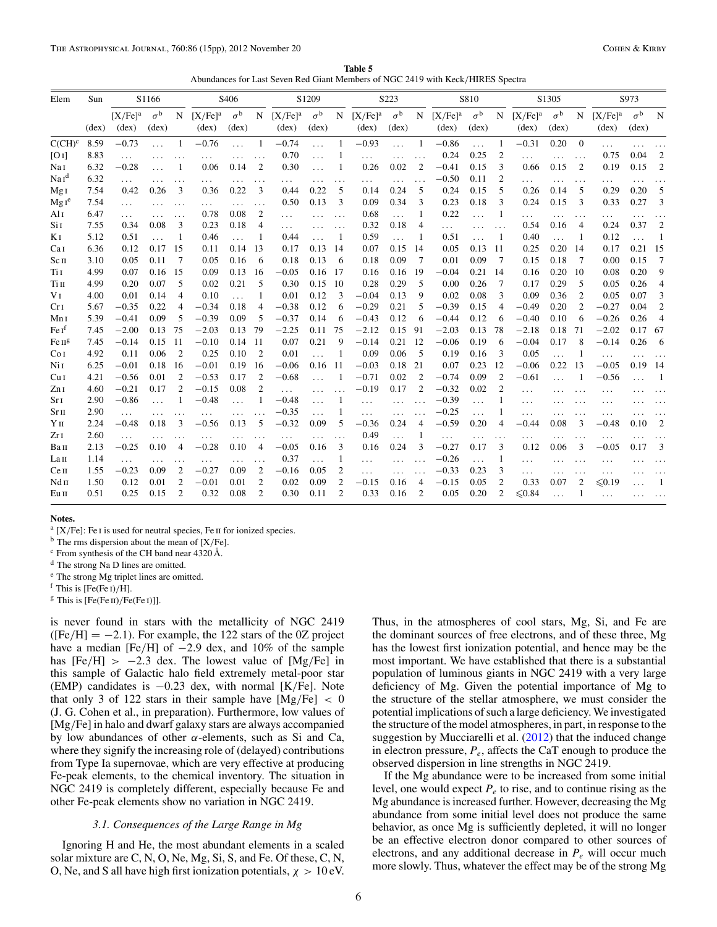**Table 5** Abundances for Last Seven Red Giant Members of NGC 2419 with Keck*/*HIRES Spectra

<span id="page-5-0"></span>

| Elem                                   | Sun            |                              | S1166                     |                |                                  | S406                               |                |                                           | S1209                     |                |                                       | S223                               |                |                              | S810                               |                |                                       | S1305                              |                |                                       | S973                               |                |
|----------------------------------------|----------------|------------------------------|---------------------------|----------------|----------------------------------|------------------------------------|----------------|-------------------------------------------|---------------------------|----------------|---------------------------------------|------------------------------------|----------------|------------------------------|------------------------------------|----------------|---------------------------------------|------------------------------------|----------------|---------------------------------------|------------------------------------|----------------|
|                                        | $(\text{dex})$ | $[X/Fe]^a$<br>$(\text{dex})$ | $\sigma^{\rm b}$<br>(dex) |                | $N$ [X/Fe] <sup>a</sup><br>(dex) | $\sigma^{\rm b}$<br>$(\text{dex})$ |                | $N$ [X/Fe] <sup>a</sup><br>$(\text{dex})$ | $\sigma^{\rm b}$<br>(dex) | N              | [X/Fe] <sup>a</sup><br>$(\text{dex})$ | $\sigma^{\rm b}$<br>$(\text{dex})$ | $\mathbf N$    | $[X/Fe]^a$<br>$(\text{dex})$ | $\sigma^{\rm b}$<br>$(\text{dex})$ | $\mathbf N$    | [X/Fe] <sup>a</sup><br>$(\text{dex})$ | $\sigma^{\rm b}$<br>$(\text{dex})$ | $\mathbf N$    | [X/Fe] <sup>a</sup><br>$(\text{dex})$ | $\sigma^{\rm b}$<br>$(\text{dex})$ | N              |
| $C(CH)^c$                              | 8.59           | $-0.73$                      | $\ddotsc$                 | $\overline{1}$ | $-0.76$                          |                                    | -1             | $-0.74$                                   | $\ddotsc$                 |                | $-0.93$                               | $\ddotsc$                          | 1              | $-0.86$                      | $\cdots$                           |                | $-0.31$                               | 0.20                               | $\Omega$       | $\ddotsc$                             |                                    |                |
| [O I]                                  | 8.83           | $\cdots$                     |                           |                |                                  |                                    |                | 0.70                                      | $\cdots$                  |                |                                       |                                    |                | 0.24                         | 0.25                               | 2              |                                       |                                    | $\ddots$       | 0.75                                  | 0.04                               | $\overline{2}$ |
| Nai                                    | 6.32           | $-0.28$                      |                           |                | 0.06                             | 0.14                               | $\overline{2}$ | 0.30                                      |                           |                | 0.26                                  | 0.02                               | $\overline{2}$ | $-0.41$                      | 0.15                               | 3              | 0.66                                  | 0.15                               | $\overline{2}$ | 0.19                                  | 0.15                               | $\overline{2}$ |
| $\mathrm{Na}\,\mathrm{I}^{\mathrm{d}}$ | 6.32           | $\cdots$                     |                           | .              | .                                |                                    |                | .                                         | .                         | .              | .                                     | .                                  |                | $-0.50$                      | 0.11                               | 2              | .                                     | $\cdots$                           | $\cdots$       | .                                     |                                    |                |
| MgI                                    | 7.54           | 0.42                         | 0.26                      | 3              | 0.36                             | 0.22                               | 3              | 0.44                                      | 0.22                      | 5              | 0.14                                  | 0.24                               | 5              | 0.24                         | 0.15                               | 5              | 0.26                                  | 0.14                               | 5              | 0.29                                  | 0.20                               | .5             |
| Mg1 <sup>e</sup>                       | 7.54           | $\cdots$                     |                           | $\cdots$       | .                                | .                                  | $\ddots$       | 0.50                                      | 0.13                      | 3              | 0.09                                  | 0.34                               | 3              | 0.23                         | 0.18                               | 3              | 0.24                                  | 0.15                               | 3              | 0.33                                  | 0.27                               | 3              |
| Al I                                   | 6.47           | $\cdots$                     |                           | $\cdots$       | 0.78                             | 0.08                               | 2              | .                                         |                           |                | 0.68                                  | $\ddotsc$                          | 1              | 0.22                         | $\ddotsc$                          |                | .                                     | $\cdots$                           | $\cdots$       | .                                     |                                    |                |
| Si <sub>I</sub>                        | 7.55           | 0.34                         | 0.08                      | 3              | 0.23                             | 0.18                               | $\overline{4}$ | $\cdots$                                  | $\cdots$                  | $\cdots$       | 0.32                                  | 0.18                               | 4              | .                            | $\cdots$                           |                | 0.54                                  | 0.16                               | $\overline{4}$ | 0.24                                  | 0.37                               | $\overline{2}$ |
| K I                                    | 5.12           | 0.51                         | $\ddotsc$                 | 1              | 0.46                             | $\ddot{\phantom{a}}$               | 1              | 0.44                                      |                           | 1              | 0.59                                  | $\ddotsc$                          | 1              | 0.51                         |                                    | 1              | 0.40                                  | $\ddotsc$                          | 1              | 0.12                                  | $\ddotsc$                          | -1             |
| Ca <sub>I</sub>                        | 6.36           | 0.12                         | 0.17                      | 15             | 0.11                             | 0.14                               | 13             | 0.17                                      | 0.13                      | 14             | 0.07                                  | 0.15                               | 14             | 0.05                         | 0.13                               | 11             | 0.25                                  | 0.20                               | 14             | 0.17                                  | 0.21                               | - 15           |
| Sc <sub>II</sub>                       | 3.10           | 0.05                         | 0.11                      | 7              | 0.05                             | 0.16                               | 6              | 0.18                                      | 0.13                      | 6              | 0.18                                  | 0.09                               | 7              | 0.01                         | 0.09                               | -7             | 0.15                                  | 0.18                               | 7              | 0.00                                  | 0.15                               | $\tau$         |
| Ti I                                   | 4.99           | 0.07                         | 0.16                      | 15             | 0.09                             | 0.13                               | 16             | $-0.05$                                   | 0.16                      | 17             | 0.16                                  | 0.16                               | 19             | $-0.04$                      | 0.21                               | 14             | 0.16                                  | 0.20                               | 10             | 0.08                                  | 0.20                               | 9              |
| Tіп                                    | 4.99           | 0.20                         | 0.07                      | 5              | 0.02                             | 0.21                               | 5              | 0.30                                      | 0.15                      | 10             | 0.28                                  | 0.29                               | 5              | 0.00                         | 0.26                               | 7              | 0.17                                  | 0.29                               | 5              | 0.05                                  | 0.26                               | $\overline{4}$ |
| V <sub>I</sub>                         | 4.00           | 0.01                         | 0.14                      | $\overline{4}$ | 0.10                             | $\ddotsc$                          |                | 0.01                                      | 0.12                      | 3              | $-0.04$                               | 0.13                               | 9              | 0.02                         | 0.08                               | 3              | 0.09                                  | 0.36                               | 2              | 0.05                                  | 0.07                               | 3              |
| Cr <sub>I</sub>                        | 5.67           | $-0.35$                      | 0.22                      | 4              | $-0.34$                          | 0.18                               | $\overline{4}$ | $-0.38$                                   | 0.12                      | 6              | $-0.29$                               | 0.21                               | 5              | $-0.39$                      | 0.15                               | 4              | $-0.49$                               | 0.20                               | $\overline{c}$ | $-0.27$                               | 0.04                               | $\overline{2}$ |
| Mn <sub>I</sub>                        | 5.39           | $-0.41$                      | 0.09                      | 5              | $-0.39$                          | 0.09                               | 5              | $-0.37$                                   | 0.14                      | 6              | $-0.43$                               | 0.12                               | 6              | $-0.44$                      | 0.12                               | 6              | $-0.40$                               | 0.10                               | 6              | $-0.26$                               | 0.26                               | $\overline{4}$ |
| Fe I <sup>f</sup>                      | 7.45           | $-2.00$                      | 0.13                      | 75             | $-2.03$                          | 0.13                               | 79             | $-2.25$                                   | 0.11                      | 75             | $-2.12$                               | 0.15                               | 91             | $-2.03$                      | 0.13                               | 78             | $-2.18$                               | 0.18                               | 71             | $-2.02$                               | 0.17 67                            |                |
| Fe II <sup>g</sup>                     | 7.45           | $-0.14$                      | 0.15                      | -11            | $-0.10$                          | 0.14                               | 11             | 0.07                                      | 0.21                      | 9              | $-0.14$                               | 0.21                               | 12             | $-0.06$                      | 0.19                               | 6              | $-0.04$                               | 0.17                               | 8              | $-0.14$                               | 0.26                               | - 6            |
| Co <sub>I</sub>                        | 4.92           | 0.11                         | 0.06                      | $\overline{2}$ | 0.25                             | 0.10                               | 2              | 0.01                                      |                           | 1              | 0.09                                  | 0.06                               | 5              | 0.19                         | 0.16                               | 3              | 0.05                                  | $\cdots$                           | 1              | $\cdots$                              |                                    | $\cdots$       |
| Ni 1                                   | 6.25           | $-0.01$                      | 0.18                      | 16             | $-0.01$                          | 0.19                               | 16             | $-0.06$                                   | 0.16                      | 11             | $-0.03$                               | 0.18                               | 21             | 0.07                         | 0.23                               | 12             | $-0.06$                               | 0.22                               | 13             | $-0.05$                               | 0.19                               | - 14           |
| Cu <sub>I</sub>                        | 4.21           | $-0.56$                      | 0.01                      | $\overline{2}$ | $-0.53$                          | 0.17                               | $\overline{2}$ | $-0.68$                                   |                           |                | $-0.71$                               | 0.02                               | $\overline{2}$ | $-0.74$                      | 0.09                               | $\overline{2}$ | $-0.61$                               |                                    |                | $-0.56$                               |                                    | -1             |
| Zn I                                   | 4.60           | $-0.21$                      | 0.17                      | $\overline{2}$ | $-0.15$                          | 0.08                               | $\overline{2}$ | $\ddotsc$                                 |                           |                | $-0.19$                               | 0.17                               | $\overline{2}$ | $-0.32$                      | 0.02                               | $\overline{2}$ | .                                     |                                    |                |                                       |                                    |                |
| Sr <sub>I</sub>                        | 2.90           | $-0.86$                      |                           |                | $-0.48$                          |                                    |                | $-0.48$                                   | .                         |                | $\cdots$                              |                                    |                | $-0.39$                      | $\cdots$                           |                | .                                     |                                    |                |                                       |                                    |                |
| $Sr\pi$                                | 2.90           | .                            | .                         |                |                                  | .                                  |                | $-0.35$                                   | $\cdots$                  |                | $\cdots$                              | .                                  |                | $-0.25$                      | $\cdots$                           |                | $\cdots$                              |                                    |                | .                                     |                                    |                |
| Yп                                     | 2.24           | $-0.48$                      | 0.18                      | 3              | $-0.56$                          | 0.13                               | 5              | $-0.32$                                   | 0.09                      | 5              | $-0.36$                               | 0.24                               | 4              | $-0.59$                      | 0.20                               |                | $-0.44$                               | 0.08                               | 3              | $-0.48$                               | 0.10                               | $\overline{2}$ |
| Zr1                                    | 2.60           | .                            |                           |                |                                  |                                    |                | .                                         |                           | .              | 0.49                                  |                                    |                | $\cdots$                     | $\cdots$                           |                | .                                     |                                    | .              |                                       |                                    |                |
| Вап                                    | 2.13           | $-0.25$                      | 0.10                      | 4              | $-0.28$                          | 0.10                               | $\overline{4}$ | $-0.05$                                   | 0.16                      | 3              | 0.16                                  | 0.24                               | 3              | $-0.27$                      | 0.17                               | 3              | 0.12                                  | 0.06                               | 3              | $-0.05$                               | 0.17                               | 3              |
| La <sub>II</sub>                       | 1.14           | $\cdots$                     |                           |                |                                  |                                    |                | 0.37                                      | .                         | 1              | $\cdots$                              | .                                  |                | $-0.26$                      | $\ddotsc$                          | 1              | .                                     |                                    |                |                                       |                                    |                |
| Ce <sub>II</sub>                       | 1.55           | $-0.23$                      | 0.09                      | $\overline{c}$ | $-0.27$                          | 0.09                               | $\overline{2}$ | $-0.16$                                   | 0.05                      | 2              | $\cdots$                              | .                                  |                | $-0.33$                      | 0.23                               | 3              | $\cdots$                              |                                    |                | .                                     |                                    |                |
| Ndп                                    | 1.50           | 0.12                         | 0.01                      | $\overline{2}$ | $-0.01$                          | 0.01                               | 2              | 0.02                                      | 0.09                      | $\overline{2}$ | $-0.15$                               | 0.16                               | 4              | $-0.15$                      | 0.05                               | $\overline{2}$ | 0.33                                  | 0.07                               | 2              | $\leq 0.19$                           |                                    |                |
| Eu II                                  | 0.51           | 0.25                         | 0.15                      | $\overline{2}$ | 0.32                             | 0.08                               | 2              | 0.30                                      | 0.11                      | 2              | 0.33                                  | 0.16                               | $\overline{2}$ | 0.05                         | 0.20                               | $\overline{c}$ | $≤ 0.84$                              |                                    |                | $\cdots$                              |                                    |                |

<sup>a</sup> [X/Fe]: Fe I is used for neutral species, Fe II for ionized species.

<sup>b</sup> The rms dispersion about the mean of [X*/*Fe].

<sup>c</sup> From synthesis of the CH band near 4320 Å.

<sup>d</sup> The strong Na D lines are omitted.

<sup>e</sup> The strong Mg triplet lines are omitted.

<sup>f</sup> This is [Fe(Fe i)*/*H].

<sup>g</sup> This is [Fe(Fe II)/Fe(Fe I)]].

is never found in stars with the metallicity of NGC 2419  $(Fe/H] = -2.1$ ). For example, the 122 stars of the 0Z project have a median [Fe*/*H] of −2*.*9 dex, and 10% of the sample has  $[Fe/H] > -2.3$  dex. The lowest value of  $[Mg/Fe]$  in this sample of Galactic halo field extremely metal-poor star (EMP) candidates is −0*.*23 dex, with normal [K*/*Fe]. Note that only 3 of 122 stars in their sample have [Mg*/*Fe] *<* 0 (J. G. Cohen et al., in preparation). Furthermore, low values of [Mg*/*Fe] in halo and dwarf galaxy stars are always accompanied by low abundances of other *α*-elements, such as Si and Ca, where they signify the increasing role of (delayed) contributions from Type Ia supernovae, which are very effective at producing Fe-peak elements, to the chemical inventory. The situation in NGC 2419 is completely different, especially because Fe and other Fe-peak elements show no variation in NGC 2419.

### *3.1. Consequences of the Large Range in Mg*

Ignoring H and He, the most abundant elements in a scaled solar mixture are C, N, O, Ne, Mg, Si, S, and Fe. Of these, C, N, O, Ne, and S all have high first ionization potentials, *χ >* 10 eV.

Thus, in the atmospheres of cool stars, Mg, Si, and Fe are the dominant sources of free electrons, and of these three, Mg has the lowest first ionization potential, and hence may be the most important. We have established that there is a substantial population of luminous giants in NGC 2419 with a very large deficiency of Mg. Given the potential importance of Mg to the structure of the stellar atmosphere, we must consider the potential implications of such a large deficiency. We investigated the structure of the model atmospheres, in part, in response to the suggestion by Mucciarelli et al. [\(2012\)](#page-14-0) that the induced change in electron pressure,  $P_e$ , affects the CaT enough to produce the observed dispersion in line strengths in NGC 2419.

If the Mg abundance were to be increased from some initial level, one would expect  $P_e$  to rise, and to continue rising as the Mg abundance is increased further. However, decreasing the Mg abundance from some initial level does not produce the same behavior, as once Mg is sufficiently depleted, it will no longer be an effective electron donor compared to other sources of electrons, and any additional decrease in  $P_e$  will occur much more slowly. Thus, whatever the effect may be of the strong Mg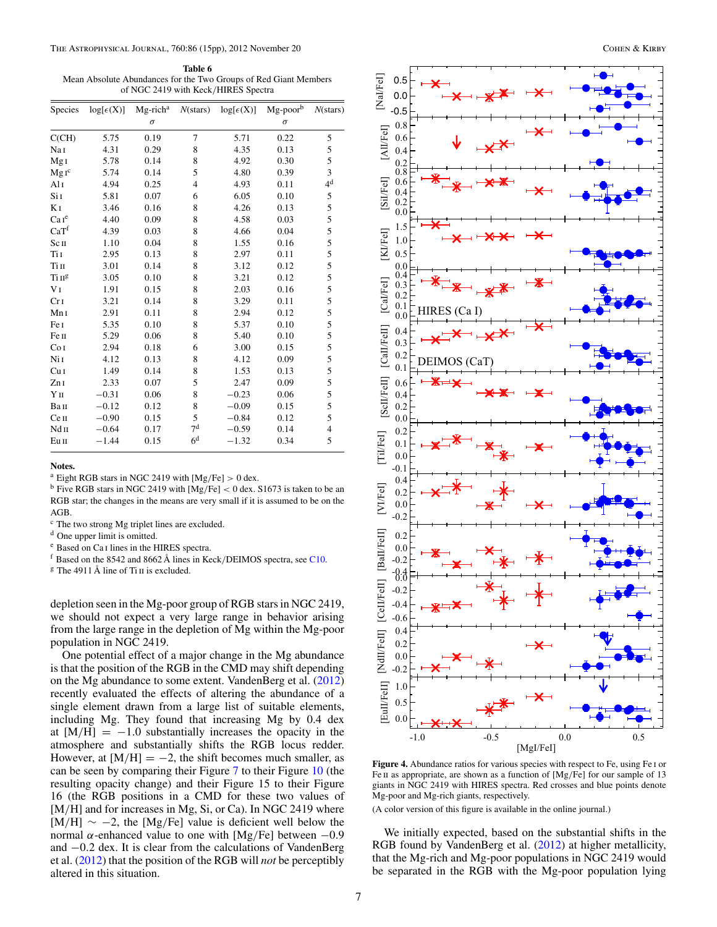<span id="page-6-0"></span>**Table 6** Mean Absolute Abundances for the Two Groups of Red Giant Members of NGC 2419 with Keck*/*HIRES Spectra

| Species                                 | $log[\epsilon(X)]$ | $Mg$ -rich <sup>a</sup> | $N$ (stars)    | $log[\epsilon(X)]$ | Mg-poorb | $N$ (stars)    |
|-----------------------------------------|--------------------|-------------------------|----------------|--------------------|----------|----------------|
|                                         |                    | $\sigma$                |                |                    | $\sigma$ |                |
| C(CH)                                   | 5.75               | 0.19                    | 7              | 5.71               | 0.22     | 5              |
| NaI                                     | 4.31               | 0.29                    | 8              | 4.35               | 0.13     | 5              |
| Mg <sub>I</sub>                         | 5.78               | 0.14                    | 8              | 4.92               | 0.30     | 5              |
| $MgI^c$                                 | 5.74               | 0.14                    | 5              | 4.80               | 0.39     | 3              |
| Al I                                    | 4.94               | 0.25                    | 4              | 4.93               | 0.11     | 4 <sup>d</sup> |
| Si I                                    | 5.81               | 0.07                    | 6              | 6.05               | 0.10     | 5              |
| K <sub>I</sub>                          | 3.46               | 0.16                    | 8              | 4.26               | 0.13     | 5              |
| Care                                    | 4.40               | 0.09                    | 8              | 4.58               | 0.03     | 5              |
| CaT <sup>f</sup>                        | 4.39               | 0.03                    | 8              | 4.66               | 0.04     | 5              |
| Sсп                                     | 1.10               | 0.04                    | 8              | 1.55               | 0.16     | 5              |
| Ti I                                    | 2.95               | 0.13                    | 8              | 2.97               | 0.11     | 5              |
| Tiп                                     | 3.01               | 0.14                    | 8              | 3.12               | 0.12     | 5              |
| $\mathrm{Ti}\,\mathrm{II}^{\mathrm{g}}$ | 3.05               | 0.10                    | 8              | 3.21               | 0.12     | 5              |
| V <sub>I</sub>                          | 1.91               | 0.15                    | 8              | 2.03               | 0.16     | 5              |
| Cr <sub>I</sub>                         | 3.21               | 0.14                    | 8              | 3.29               | 0.11     | 5              |
| Mn <sub>I</sub>                         | 2.91               | 0.11                    | 8              | 2.94               | 0.12     | 5              |
| Fe I                                    | 5.35               | 0.10                    | 8              | 5.37               | 0.10     | 5              |
| Fe п                                    | 5.29               | 0.06                    | 8              | 5.40               | 0.10     | 5              |
| Co <sub>I</sub>                         | 2.94               | 0.18                    | 6              | 3.00               | 0.15     | 5              |
| Ni 1                                    | 4.12               | 0.13                    | 8              | 4.12               | 0.09     | 5              |
| Cu <sub>I</sub>                         | 1.49               | 0.14                    | 8              | 1.53               | 0.13     | 5              |
| Zn <sub>I</sub>                         | 2.33               | 0.07                    | 5              | 2.47               | 0.09     | 5              |
| Y <sub>II</sub>                         | $-0.31$            | 0.06                    | 8              | $-0.23$            | 0.06     | 5              |
| Вап                                     | $-0.12$            | 0.12                    | 8              | $-0.09$            | 0.15     | 5              |
| Cеп                                     | $-0.90$            | 0.15                    | 5              | $-0.84$            | 0.12     | 5              |
| Nd II                                   | $-0.64$            | 0.17                    | 7 <sup>d</sup> | $-0.59$            | 0.14     | $\overline{4}$ |
| Eu II                                   | $-1.44$            | 0.15                    | 6 <sup>d</sup> | $-1.32$            | 0.34     | 5              |

<sup>a</sup> Eight RGB stars in NGC 2419 with [Mg*/*Fe] *>* 0 dex.

<sup>b</sup> Five RGB stars in NGC 2419 with [Mg*/*Fe] *<* 0 dex. S1673 is taken to be an RGB star; the changes in the means are very small if it is assumed to be on the AGB.

<sup>c</sup> The two strong Mg triplet lines are excluded.

<sup>d</sup> One upper limit is omitted.

<sup>e</sup> Based on Ca i lines in the HIRES spectra.

<sup>f</sup> Based on the 8542 and 8662 Å lines in Keck*/*DEIMOS spectra, see [C10.](#page-14-0)

 $\frac{g}{g}$  The 4911 Å line of Ti II is excluded.

depletion seen in the Mg-poor group of RGB stars in NGC 2419, we should not expect a very large range in behavior arising from the large range in the depletion of Mg within the Mg-poor population in NGC 2419.

One potential effect of a major change in the Mg abundance is that the position of the RGB in the CMD may shift depending on the Mg abundance to some extent. VandenBerg et al. [\(2012\)](#page-14-0) recently evaluated the effects of altering the abundance of a single element drawn from a large list of suitable elements, including Mg. They found that increasing Mg by 0.4 dex at  $[M/H] = -1.0$  substantially increases the opacity in the atmosphere and substantially shifts the RGB locus redder. However, at  $[M/H] = -2$ , the shift becomes much smaller, as can be seen by comparing their Figure [7](#page-8-0) to their Figure [10](#page-9-0) (the resulting opacity change) and their Figure 15 to their Figure 16 (the RGB positions in a CMD for these two values of [M/H] and for increases in Mg, Si, or Ca). In NGC 2419 where [M*/*H] ∼ −2, the [Mg*/*Fe] value is deficient well below the normal *α*-enhanced value to one with [Mg*/*Fe] between −0*.*9 and −0*.*2 dex. It is clear from the calculations of VandenBerg et al. [\(2012\)](#page-14-0) that the position of the RGB will *not* be perceptibly altered in this situation.



**Figure 4.** Abundance ratios for various species with respect to Fe, using Fe i or Fe II as appropriate, are shown as a function of [Mg/Fe] for our sample of 13 giants in NGC 2419 with HIRES spectra. Red crosses and blue points denote Mg-poor and Mg-rich giants, respectively.

(A color version of this figure is available in the online journal.)

We initially expected, based on the substantial shifts in the RGB found by VandenBerg et al. [\(2012\)](#page-14-0) at higher metallicity, that the Mg-rich and Mg-poor populations in NGC 2419 would be separated in the RGB with the Mg-poor population lying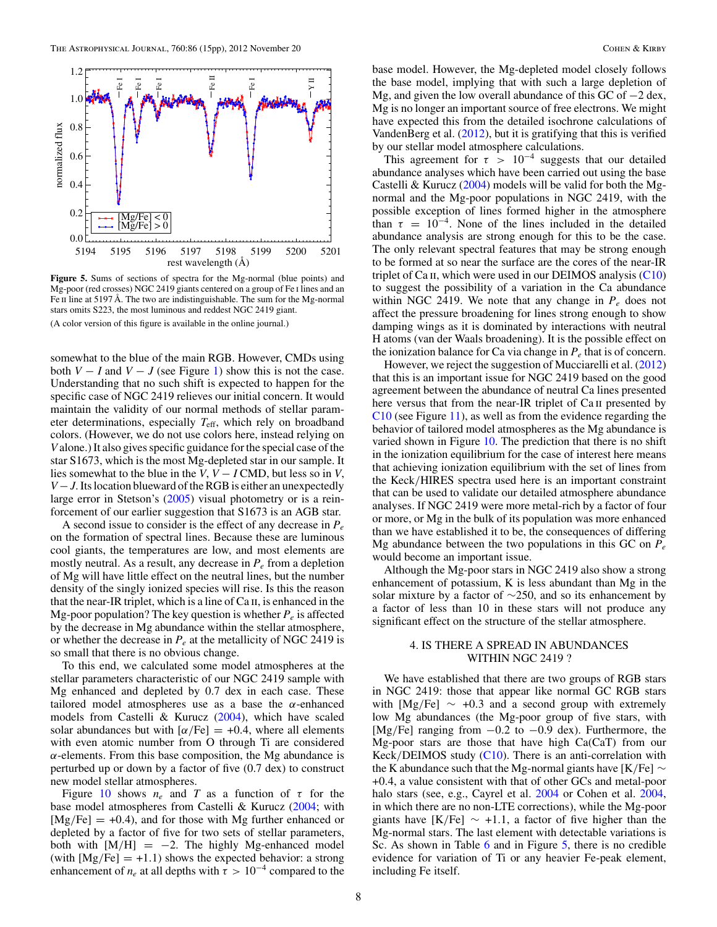<span id="page-7-0"></span>

**Figure 5.** Sums of sections of spectra for the Mg-normal (blue points) and Mg-poor (red crosses) NGC 2419 giants centered on a group of Fe i lines and an Fe  $\pi$  line at 5197 Å. The two are indistinguishable. The sum for the Mg-normal stars omits S223, the most luminous and reddest NGC 2419 giant. (A color version of this figure is available in the online journal.)

somewhat to the blue of the main RGB. However, CMDs using both  $V - I$  and  $V - J$  (see Figure [1\)](#page-1-0) show this is not the case. Understanding that no such shift is expected to happen for the specific case of NGC 2419 relieves our initial concern. It would maintain the validity of our normal methods of stellar parameter determinations, especially *T*eff, which rely on broadband colors. (However, we do not use colors here, instead relying on *V* alone.) It also gives specific guidance for the special case of the star S1673, which is the most Mg-depleted star in our sample. It lies somewhat to the blue in the *V*,  $V - I$  CMD, but less so in *V*, *V* − *J*. Its location blueward of the RGB is either an unexpectedly large error in Stetson's [\(2005\)](#page-14-0) visual photometry or is a reinforcement of our earlier suggestion that S1673 is an AGB star.

A second issue to consider is the effect of any decrease in  $P_e$ on the formation of spectral lines. Because these are luminous cool giants, the temperatures are low, and most elements are mostly neutral. As a result, any decrease in  $P_e$  from a depletion of Mg will have little effect on the neutral lines, but the number density of the singly ionized species will rise. Is this the reason that the near-IR triplet, which is a line of Ca ii, is enhanced in the Mg-poor population? The key question is whether  $P_e$  is affected by the decrease in Mg abundance within the stellar atmosphere, or whether the decrease in  $P_e$  at the metallicity of NGC 2419 is so small that there is no obvious change.

To this end, we calculated some model atmospheres at the stellar parameters characteristic of our NGC 2419 sample with Mg enhanced and depleted by 0.7 dex in each case. These tailored model atmospheres use as a base the *α*-enhanced models from Castelli & Kurucz [\(2004\)](#page-13-0), which have scaled solar abundances but with  $\left[\alpha/\text{Fe}\right] = +0.4$ , where all elements with even atomic number from O through Ti are considered  $\alpha$ -elements. From this base composition, the Mg abundance is perturbed up or down by a factor of five (0.7 dex) to construct new model stellar atmospheres.

Figure [10](#page-9-0) shows  $n_e$  and T as a function of  $\tau$  for the base model atmospheres from Castelli & Kurucz [\(2004;](#page-13-0) with [Mg*/*Fe] = +0*.*4), and for those with Mg further enhanced or depleted by a factor of five for two sets of stellar parameters, both with  $[M/H] = -2$ . The highly Mg-enhanced model (with  $[Mg/Fe] = +1.1$ ) shows the expected behavior: a strong enhancement of  $n_e$  at all depths with  $\tau > 10^{-4}$  compared to the

base model. However, the Mg-depleted model closely follows the base model, implying that with such a large depletion of Mg, and given the low overall abundance of this GC of −2 dex, Mg is no longer an important source of free electrons. We might have expected this from the detailed isochrone calculations of VandenBerg et al. [\(2012\)](#page-14-0), but it is gratifying that this is verified by our stellar model atmosphere calculations.

This agreement for  $\tau > 10^{-4}$  suggests that our detailed abundance analyses which have been carried out using the base Castelli & Kurucz [\(2004\)](#page-13-0) models will be valid for both the Mgnormal and the Mg-poor populations in NGC 2419, with the possible exception of lines formed higher in the atmosphere than  $\tau = 10^{-4}$ . None of the lines included in the detailed abundance analysis are strong enough for this to be the case. The only relevant spectral features that may be strong enough to be formed at so near the surface are the cores of the near-IR triplet of Ca II, which were used in our DEIMOS analysis  $(C10)$ to suggest the possibility of a variation in the Ca abundance within NGC 2419. We note that any change in  $P_e$  does not affect the pressure broadening for lines strong enough to show damping wings as it is dominated by interactions with neutral H atoms (van der Waals broadening). It is the possible effect on the ionization balance for Ca via change in  $P_e$  that is of concern.

However, we reject the suggestion of Mucciarelli et al. [\(2012\)](#page-14-0) that this is an important issue for NGC 2419 based on the good agreement between the abundance of neutral Ca lines presented here versus that from the near-IR triplet of Ca II presented by [C10](#page-14-0) (see Figure [11\)](#page-10-0), as well as from the evidence regarding the behavior of tailored model atmospheres as the Mg abundance is varied shown in Figure [10.](#page-9-0) The prediction that there is no shift in the ionization equilibrium for the case of interest here means that achieving ionization equilibrium with the set of lines from the Keck*/*HIRES spectra used here is an important constraint that can be used to validate our detailed atmosphere abundance analyses. If NGC 2419 were more metal-rich by a factor of four or more, or Mg in the bulk of its population was more enhanced than we have established it to be, the consequences of differing Mg abundance between the two populations in this GC on *Pe* would become an important issue.

Although the Mg-poor stars in NGC 2419 also show a strong enhancement of potassium, K is less abundant than Mg in the solar mixture by a factor of ∼250, and so its enhancement by a factor of less than 10 in these stars will not produce any significant effect on the structure of the stellar atmosphere.

### 4. IS THERE A SPREAD IN ABUNDANCES WITHIN NGC 2419 ?

We have established that there are two groups of RGB stars in NGC 2419: those that appear like normal GC RGB stars with  $[Mg/Fe] \sim +0.3$  and a second group with extremely low Mg abundances (the Mg-poor group of five stars, with [Mg*/*Fe] ranging from −0*.*2 to −0*.*9 dex). Furthermore, the Mg-poor stars are those that have high Ca(CaT) from our Keck*/*DEIMOS study [\(C10\)](#page-14-0). There is an anti-correlation with the K abundance such that the Mg-normal giants have [K*/*Fe] ∼ +0*.*4, a value consistent with that of other GCs and metal-poor halo stars (see, e.g., Cayrel et al. [2004](#page-13-0) or Cohen et al. [2004,](#page-14-0) in which there are no non-LTE corrections), while the Mg-poor giants have  $[K/Fe] \sim +1.1$ , a factor of five higher than the Mg-normal stars. The last element with detectable variations is Sc. As shown in Table [6](#page-6-0) and in Figure 5, there is no credible evidence for variation of Ti or any heavier Fe-peak element, including Fe itself.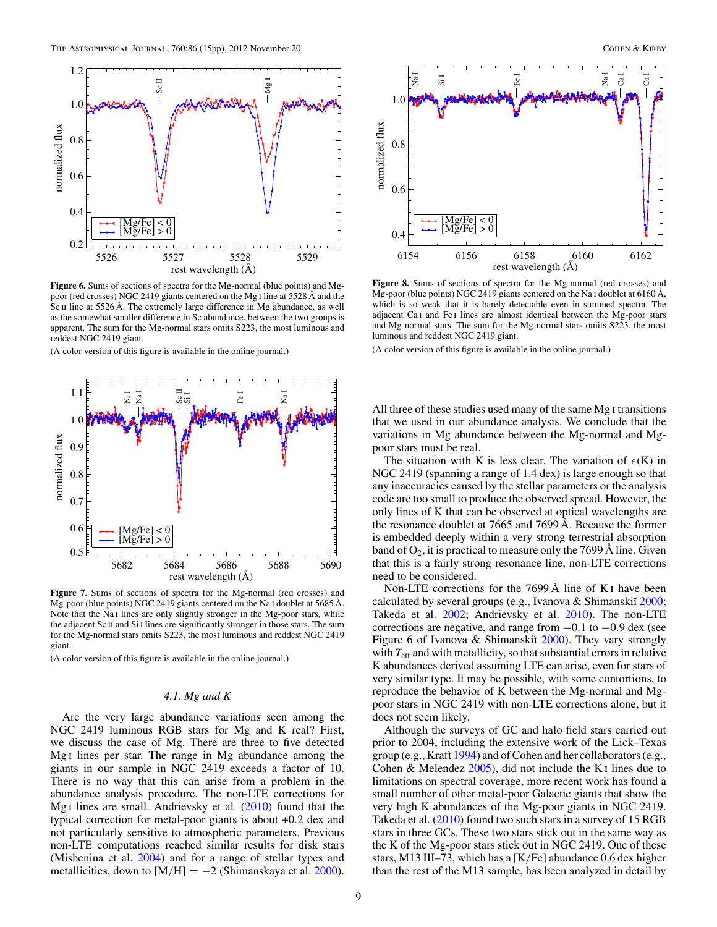<span id="page-8-0"></span>

**Figure 6.** Sums of sections of spectra for the Mg-normal (blue points) and Mgpoor (red crosses) NGC 2419 giants centered on the Mg i line at 5528 Å and the Sc II line at 5526 Å. The extremely large difference in Mg abundance, as well as the somewhat smaller difference in Sc abundance, between the two groups is apparent. The sum for the Mg-normal stars omits S223, the most luminous and reddest NGC 2419 giant.

(A color version of this figure is available in the online journal.)



**Figure 7.** Sums of sections of spectra for the Mg-normal (red crosses) and Mg-poor (blue points) NGC 2419 giants centered on the Na i doublet at 5685 Å. Note that the Na<sub>I</sub> lines are only slightly stronger in the Mg-poor stars, while the adjacent Sc II and Si I lines are significantly stronger in those stars. The sum for the Mg-normal stars omits S223, the most luminous and reddest NGC 2419 giant.

(A color version of this figure is available in the online journal.)

# *4.1. Mg and K*

Are the very large abundance variations seen among the NGC 2419 luminous RGB stars for Mg and K real? First, we discuss the case of Mg. There are three to five detected Mg i lines per star. The range in Mg abundance among the giants in our sample in NGC 2419 exceeds a factor of 10. There is no way that this can arise from a problem in the abundance analysis procedure. The non-LTE corrections for Mg<sub>I</sub> lines are small. Andrievsky et al. [\(2010\)](#page-13-0) found that the typical correction for metal-poor giants is about +0*.*2 dex and not particularly sensitive to atmospheric parameters. Previous non-LTE computations reached similar results for disk stars (Mishenina et al. [2004\)](#page-14-0) and for a range of stellar types and metallicities, down to  $[M/H] = -2$  (Shimanskaya et al. [2000\)](#page-14-0).



**Figure 8.** Sums of sections of spectra for the Mg-normal (red crosses) and Mg-poor (blue points) NGC 2419 giants centered on the Na I doublet at 6160 Å, which is so weak that it is barely detectable even in summed spectra. The adjacent Ca<sub>I</sub> and Fe<sub>I</sub> lines are almost identical between the Mg-poor stars and Mg-normal stars. The sum for the Mg-normal stars omits S223, the most luminous and reddest NGC 2419 giant.

(A color version of this figure is available in the online journal.)

All three of these studies used many of the same Mg i transitions that we used in our abundance analysis. We conclude that the variations in Mg abundance between the Mg-normal and Mgpoor stars must be real.

The situation with K is less clear. The variation of  $\epsilon(K)$  in NGC 2419 (spanning a range of 1.4 dex) is large enough so that any inaccuracies caused by the stellar parameters or the analysis code are too small to produce the observed spread. However, the only lines of K that can be observed at optical wavelengths are the resonance doublet at 7665 and 7699 Å. Because the former is embedded deeply within a very strong terrestrial absorption band of  $O_2$ , it is practical to measure only the 7699 Å line. Given that this is a fairly strong resonance line, non-LTE corrections need to be considered.

Non-LTE corrections for the 7699 Å line of K<sub>I</sub> have been calculated by several groups (e.g., Ivanova  $&$  Shimanski $\tilde{a}$  [2000;](#page-14-0) Takeda et al. [2002;](#page-14-0) Andrievsky et al. [2010\)](#page-13-0). The non-LTE corrections are negative, and range from −0*.*1 to −0*.*9 dex (see Figure 6 of Ivanova & Shimanskiĭ [2000\)](#page-14-0). They vary strongly with  $T_{\text{eff}}$  and with metallicity, so that substantial errors in relative K abundances derived assuming LTE can arise, even for stars of very similar type. It may be possible, with some contortions, to reproduce the behavior of K between the Mg-normal and Mgpoor stars in NGC 2419 with non-LTE corrections alone, but it does not seem likely.

Although the surveys of GC and halo field stars carried out prior to 2004, including the extensive work of the Lick–Texas group (e.g., Kraft [1994\)](#page-14-0) and of Cohen and her collaborators (e.g., Cohen & Melendez  $2005$ , did not include the K<sub>I</sub> lines due to limitations on spectral coverage, more recent work has found a small number of other metal-poor Galactic giants that show the very high K abundances of the Mg-poor giants in NGC 2419. Takeda et al. [\(2010\)](#page-14-0) found two such stars in a survey of 15 RGB stars in three GCs. These two stars stick out in the same way as the K of the Mg-poor stars stick out in NGC 2419. One of these stars, M13 III–73, which has a [K*/*Fe] abundance 0.6 dex higher than the rest of the M13 sample, has been analyzed in detail by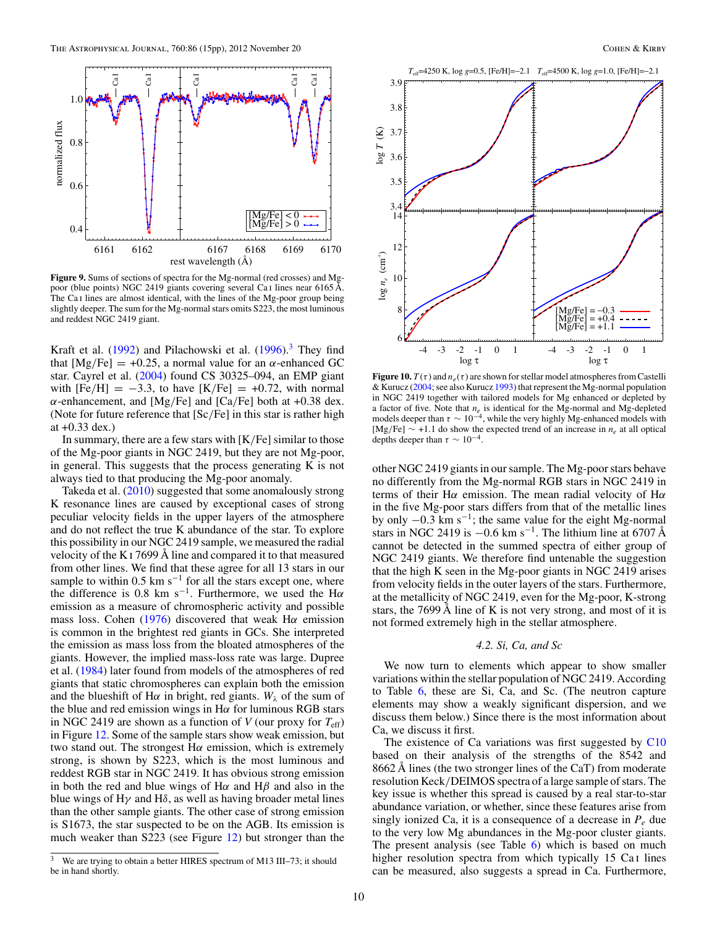<span id="page-9-0"></span>

**Figure 9.** Sums of sections of spectra for the Mg-normal (red crosses) and Mgpoor (blue points) NGC 2419 giants covering several Ca i lines near 6165 Å. The Ca i lines are almost identical, with the lines of the Mg-poor group being slightly deeper. The sum for the Mg-normal stars omits S223, the most luminous and reddest NGC 2419 giant.

Kraft et al.  $(1992)$  and Pilachowski et al.  $(1996)^3$  $(1996)^3$  They find that  $[Mg/Fe] = +0.25$ , a normal value for an  $\alpha$ -enhanced GC star. Cayrel et al. [\(2004\)](#page-13-0) found CS 30325–094, an EMP giant with  $[Fe/H] = -3.3$ , to have  $[K/Fe] = +0.72$ , with normal *α*-enhancement, and [Mg*/*Fe] and [Ca*/*Fe] both at +0.38 dex. (Note for future reference that [Sc*/*Fe] in this star is rather high at +0.33 dex.)

In summary, there are a few stars with [K*/*Fe] similar to those of the Mg-poor giants in NGC 2419, but they are not Mg-poor, in general. This suggests that the process generating K is not always tied to that producing the Mg-poor anomaly.

Takeda et al. [\(2010\)](#page-14-0) suggested that some anomalously strong K resonance lines are caused by exceptional cases of strong peculiar velocity fields in the upper layers of the atmosphere and do not reflect the true K abundance of the star. To explore this possibility in our NGC 2419 sample, we measured the radial velocity of the K i 7699 Å line and compared it to that measured from other lines. We find that these agree for all 13 stars in our sample to within  $0.5 \text{ km s}^{-1}$  for all the stars except one, where the difference is 0.8 km s−1. Furthermore, we used the H*α* emission as a measure of chromospheric activity and possible mass loss. Cohen [\(1976\)](#page-13-0) discovered that weak H*α* emission is common in the brightest red giants in GCs. She interpreted the emission as mass loss from the bloated atmospheres of the giants. However, the implied mass-loss rate was large. Dupree et al. [\(1984\)](#page-14-0) later found from models of the atmospheres of red giants that static chromospheres can explain both the emission and the blueshift of H $\alpha$  in bright, red giants.  $W_{\lambda}$  of the sum of the blue and red emission wings in H*α* for luminous RGB stars in NGC 2419 are shown as a function of *V* (our proxy for  $T_{\text{eff}}$ ) in Figure [12.](#page-10-0) Some of the sample stars show weak emission, but two stand out. The strongest H*α* emission, which is extremely strong, is shown by S223, which is the most luminous and reddest RGB star in NGC 2419. It has obvious strong emission in both the red and blue wings of H*α* and H*β* and also in the blue wings of H*γ* and H*δ*, as well as having broader metal lines than the other sample giants. The other case of strong emission is S1673, the star suspected to be on the AGB. Its emission is much weaker than S223 (see Figure [12\)](#page-10-0) but stronger than the



**Figure 10.**  $T(\tau)$  and  $n_e(\tau)$  are shown for stellar model atmospheres from Castelli & Kurucz [\(2004;](#page-13-0) see also Kurucz [1993\)](#page-14-0) that represent the Mg-normal population in NGC 2419 together with tailored models for Mg enhanced or depleted by a factor of five. Note that *n<sub>e</sub>* is identical for the Mg-normal and Mg-depleted models deeper than  $\tau \sim 10^{-4}$ , while the very highly Mg-enhanced models with [Mg*/*Fe] ∼ +1*.*1 do show the expected trend of an increase in *ne* at all optical depths deeper than  $\tau \sim 10^{-4}$ .

other NGC 2419 giants in our sample. The Mg-poor stars behave no differently from the Mg-normal RGB stars in NGC 2419 in terms of their H*α* emission. The mean radial velocity of H*α* in the five Mg-poor stars differs from that of the metallic lines by only <sup>−</sup>0*.*3 km s−1; the same value for the eight Mg-normal stars in NGC 2419 is  $-0.6$  km s<sup>-1</sup>. The lithium line at 6707 Å cannot be detected in the summed spectra of either group of NGC 2419 giants. We therefore find untenable the suggestion that the high K seen in the Mg-poor giants in NGC 2419 arises from velocity fields in the outer layers of the stars. Furthermore, at the metallicity of NGC 2419, even for the Mg-poor, K-strong stars, the 7699 Å line of K is not very strong, and most of it is not formed extremely high in the stellar atmosphere.

## *4.2. Si, Ca, and Sc*

We now turn to elements which appear to show smaller variations within the stellar population of NGC 2419. According to Table [6,](#page-6-0) these are Si, Ca, and Sc. (The neutron capture elements may show a weakly significant dispersion, and we discuss them below.) Since there is the most information about Ca, we discuss it first.

The existence of Ca variations was first suggested by [C10](#page-14-0) based on their analysis of the strengths of the 8542 and 8662 Å lines (the two stronger lines of the CaT) from moderate resolution Keck*/*DEIMOS spectra of a large sample of stars. The key issue is whether this spread is caused by a real star-to-star abundance variation, or whether, since these features arise from singly ionized Ca, it is a consequence of a decrease in  $P_e$  due to the very low Mg abundances in the Mg-poor cluster giants. The present analysis (see Table [6\)](#page-6-0) which is based on much higher resolution spectra from which typically 15 Ca<sub>I</sub> lines can be measured, also suggests a spread in Ca. Furthermore,

<sup>&</sup>lt;sup>3</sup> We are trying to obtain a better HIRES spectrum of M13 III-73; it should be in hand shortly.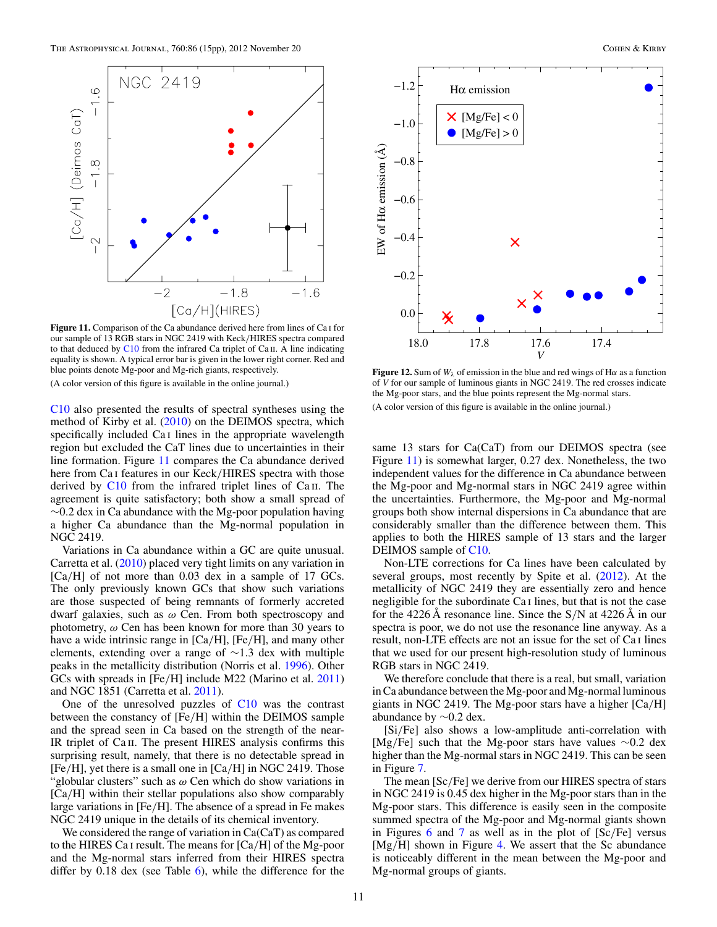<span id="page-10-0"></span>

Figure 11. Comparison of the Ca abundance derived here from lines of Ca<sub>I</sub> for our sample of 13 RGB stars in NGC 2419 with Keck*/*HIRES spectra compared to that deduced by  $C10$  from the infrared Ca triplet of Ca  $\pi$ . A line indicating equality is shown. A typical error bar is given in the lower right corner. Red and blue points denote Mg-poor and Mg-rich giants, respectively. (A color version of this figure is available in the online journal.)

[C10](#page-14-0) also presented the results of spectral syntheses using the method of Kirby et al. [\(2010\)](#page-14-0) on the DEIMOS spectra, which specifically included Ca i lines in the appropriate wavelength region but excluded the CaT lines due to uncertainties in their line formation. Figure 11 compares the Ca abundance derived here from Ca i features in our Keck*/*HIRES spectra with those derived by  $C10$  from the infrared triplet lines of  $Ca$  II. The agreement is quite satisfactory; both show a small spread of  $\sim$ 0.2 dex in Ca abundance with the Mg-poor population having a higher Ca abundance than the Mg-normal population in NGC 2419.

Variations in Ca abundance within a GC are quite unusual. Carretta et al. [\(2010\)](#page-13-0) placed very tight limits on any variation in [Ca*/*H] of not more than 0.03 dex in a sample of 17 GCs. The only previously known GCs that show such variations are those suspected of being remnants of formerly accreted dwarf galaxies, such as *ω* Cen. From both spectroscopy and photometry, *ω* Cen has been known for more than 30 years to have a wide intrinsic range in [Ca*/*H], [Fe*/*H], and many other elements, extending over a range of ∼1.3 dex with multiple peaks in the metallicity distribution (Norris et al. [1996\)](#page-14-0). Other GCs with spreads in [Fe*/*H] include M22 (Marino et al. [2011\)](#page-14-0) and NGC 1851 (Carretta et al. [2011\)](#page-13-0).

One of the unresolved puzzles of [C10](#page-14-0) was the contrast between the constancy of [Fe*/*H] within the DEIMOS sample and the spread seen in Ca based on the strength of the near-IR triplet of Ca II. The present HIRES analysis confirms this surprising result, namely, that there is no detectable spread in [Fe*/*H], yet there is a small one in [Ca*/*H] in NGC 2419. Those "globular clusters" such as *ω* Cen which do show variations in [Ca*/*H] within their stellar populations also show comparably large variations in [Fe*/*H]. The absence of a spread in Fe makes NGC 2419 unique in the details of its chemical inventory.

We considered the range of variation in Ca(CaT) as compared to the HIRES Ca i result. The means for [Ca*/*H] of the Mg-poor and the Mg-normal stars inferred from their HIRES spectra differ by  $0.18$  dex (see Table [6\)](#page-6-0), while the difference for the



**Figure 12.** Sum of  $W_{\lambda}$  of emission in the blue and red wings of H $\alpha$  as a function of *V* for our sample of luminous giants in NGC 2419. The red crosses indicate the Mg-poor stars, and the blue points represent the Mg-normal stars. (A color version of this figure is available in the online journal.)

same 13 stars for Ca(CaT) from our DEIMOS spectra (see Figure 11) is somewhat larger, 0.27 dex. Nonetheless, the two independent values for the difference in Ca abundance between the Mg-poor and Mg-normal stars in NGC 2419 agree within the uncertainties. Furthermore, the Mg-poor and Mg-normal groups both show internal dispersions in Ca abundance that are considerably smaller than the difference between them. This applies to both the HIRES sample of 13 stars and the larger DEIMOS sample of [C10.](#page-14-0)

Non-LTE corrections for Ca lines have been calculated by several groups, most recently by Spite et al. [\(2012\)](#page-14-0). At the metallicity of NGC 2419 they are essentially zero and hence negligible for the subordinate Ca i lines, but that is not the case for the 4226 Å resonance line. Since the S*/*N at 4226 Å in our spectra is poor, we do not use the resonance line anyway. As a result, non-LTE effects are not an issue for the set of Ca i lines that we used for our present high-resolution study of luminous RGB stars in NGC 2419.

We therefore conclude that there is a real, but small, variation in Ca abundance between the Mg-poor and Mg-normal luminous giants in NGC 2419. The Mg-poor stars have a higher [Ca*/*H] abundance by ∼0.2 dex.

[Si*/*Fe] also shows a low-amplitude anti-correlation with [Mg*/*Fe] such that the Mg-poor stars have values ∼0.2 dex higher than the Mg-normal stars in NGC 2419. This can be seen in Figure [7.](#page-8-0)

The mean [Sc*/*Fe] we derive from our HIRES spectra of stars in NGC 2419 is 0.45 dex higher in the Mg-poor stars than in the Mg-poor stars. This difference is easily seen in the composite summed spectra of the Mg-poor and Mg-normal giants shown in Figures [6](#page-8-0) and [7](#page-8-0) as well as in the plot of [Sc*/*Fe] versus [Mg*/*H] shown in Figure [4.](#page-6-0) We assert that the Sc abundance is noticeably different in the mean between the Mg-poor and Mg-normal groups of giants.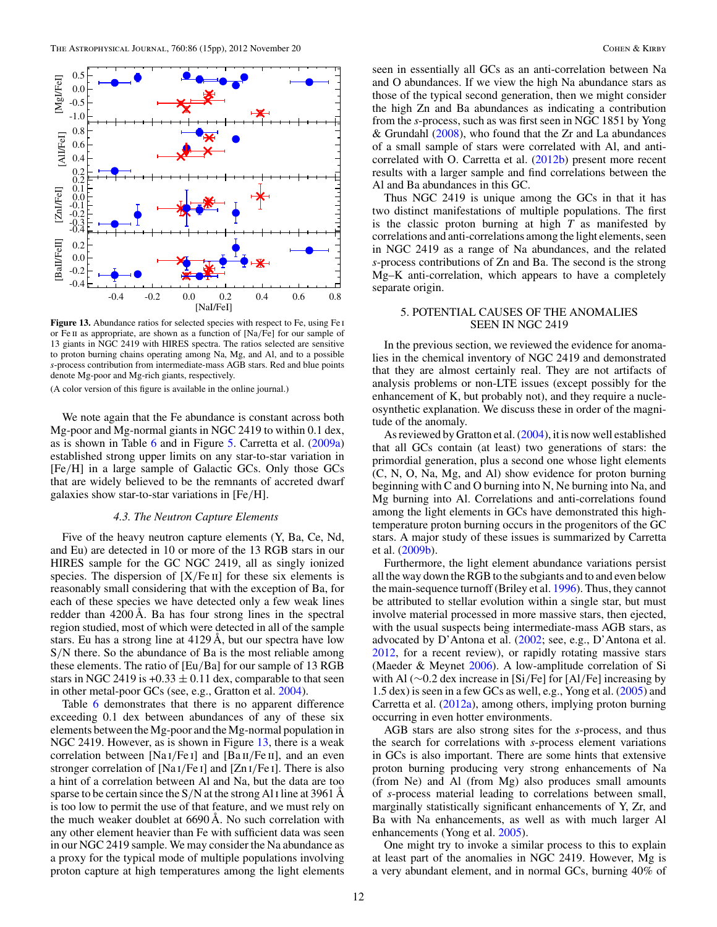<span id="page-11-0"></span>

**Figure 13.** Abundance ratios for selected species with respect to Fe, using Fe i or Fe ii as appropriate, are shown as a function of [Na*/*Fe] for our sample of 13 giants in NGC 2419 with HIRES spectra. The ratios selected are sensitive to proton burning chains operating among Na, Mg, and Al, and to a possible *s*-process contribution from intermediate-mass AGB stars. Red and blue points denote Mg-poor and Mg-rich giants, respectively.

(A color version of this figure is available in the online journal.)

We note again that the Fe abundance is constant across both Mg-poor and Mg-normal giants in NGC 2419 to within 0.1 dex, as is shown in Table [6](#page-6-0) and in Figure [5.](#page-7-0) Carretta et al. [\(2009a\)](#page-13-0) established strong upper limits on any star-to-star variation in [Fe*/*H] in a large sample of Galactic GCs. Only those GCs that are widely believed to be the remnants of accreted dwarf galaxies show star-to-star variations in [Fe*/*H].

### *4.3. The Neutron Capture Elements*

Five of the heavy neutron capture elements (Y, Ba, Ce, Nd, and Eu) are detected in 10 or more of the 13 RGB stars in our HIRES sample for the GC NGC 2419, all as singly ionized species. The dispersion of  $[X/Fe II]$  for these six elements is reasonably small considering that with the exception of Ba, for each of these species we have detected only a few weak lines redder than 4200 Å. Ba has four strong lines in the spectral region studied, most of which were detected in all of the sample stars. Eu has a strong line at 4129 Å, but our spectra have low S*/*N there. So the abundance of Ba is the most reliable among these elements. The ratio of [Eu*/*Ba] for our sample of 13 RGB stars in NGC 2419 is  $+0.33 \pm 0.11$  dex, comparable to that seen in other metal-poor GCs (see, e.g., Gratton et al. [2004\)](#page-14-0).

Table [6](#page-6-0) demonstrates that there is no apparent difference exceeding 0.1 dex between abundances of any of these six elements between the Mg-poor and the Mg-normal population in NGC 2419. However, as is shown in Figure 13, there is a weak correlation between [Na i*/*Fe i] and [Ba ii*/*Fe ii], and an even stronger correlation of [Na i*/*Fe i] and [Zn i*/*Fe i]. There is also a hint of a correlation between Al and Na, but the data are too sparse to be certain since the S*/*N at the strong Al i line at 3961 Å is too low to permit the use of that feature, and we must rely on the much weaker doublet at 6690 Å. No such correlation with any other element heavier than Fe with sufficient data was seen in our NGC 2419 sample. We may consider the Na abundance as a proxy for the typical mode of multiple populations involving proton capture at high temperatures among the light elements

seen in essentially all GCs as an anti-correlation between Na and O abundances. If we view the high Na abundance stars as those of the typical second generation, then we might consider the high Zn and Ba abundances as indicating a contribution from the *s*-process, such as was first seen in NGC 1851 by Yong & Grundahl  $(2008)$ , who found that the Zr and La abundances of a small sample of stars were correlated with Al, and anticorrelated with O. Carretta et al. [\(2012b\)](#page-13-0) present more recent results with a larger sample and find correlations between the Al and Ba abundances in this GC.

Thus NGC 2419 is unique among the GCs in that it has two distinct manifestations of multiple populations. The first is the classic proton burning at high *T* as manifested by correlations and anti-correlations among the light elements, seen in NGC 2419 as a range of Na abundances, and the related *s*-process contributions of Zn and Ba. The second is the strong Mg–K anti-correlation, which appears to have a completely separate origin.

## 5. POTENTIAL CAUSES OF THE ANOMALIES SEEN IN NGC 2419

In the previous section, we reviewed the evidence for anomalies in the chemical inventory of NGC 2419 and demonstrated that they are almost certainly real. They are not artifacts of analysis problems or non-LTE issues (except possibly for the enhancement of K, but probably not), and they require a nucleosynthetic explanation. We discuss these in order of the magnitude of the anomaly.

As reviewed by Gratton et al. [\(2004\)](#page-14-0), it is now well established that all GCs contain (at least) two generations of stars: the primordial generation, plus a second one whose light elements (C, N, O, Na, Mg, and Al) show evidence for proton burning beginning with C and O burning into N, Ne burning into Na, and Mg burning into Al. Correlations and anti-correlations found among the light elements in GCs have demonstrated this hightemperature proton burning occurs in the progenitors of the GC stars. A major study of these issues is summarized by Carretta et al. [\(2009b\)](#page-13-0).

Furthermore, the light element abundance variations persist all the way down the RGB to the subgiants and to and even below the main-sequence turnoff (Briley et al. [1996\)](#page-13-0). Thus, they cannot be attributed to stellar evolution within a single star, but must involve material processed in more massive stars, then ejected, with the usual suspects being intermediate-mass AGB stars, as advocated by D'Antona et al. [\(2002;](#page-14-0) see, e.g., D'Antona et al. [2012,](#page-14-0) for a recent review), or rapidly rotating massive stars (Maeder & Meynet [2006\)](#page-14-0). A low-amplitude correlation of Si with Al (∼0.2 dex increase in [Si*/*Fe] for [Al*/*Fe] increasing by 1.5 dex) is seen in a few GCs as well, e.g., Yong et al. [\(2005\)](#page-14-0) and Carretta et al. [\(2012a\)](#page-13-0), among others, implying proton burning occurring in even hotter environments.

AGB stars are also strong sites for the *s*-process, and thus the search for correlations with *s*-process element variations in GCs is also important. There are some hints that extensive proton burning producing very strong enhancements of Na (from Ne) and Al (from Mg) also produces small amounts of *s*-process material leading to correlations between small, marginally statistically significant enhancements of Y, Zr, and Ba with Na enhancements, as well as with much larger Al enhancements (Yong et al. [2005\)](#page-14-0).

One might try to invoke a similar process to this to explain at least part of the anomalies in NGC 2419. However, Mg is a very abundant element, and in normal GCs, burning 40% of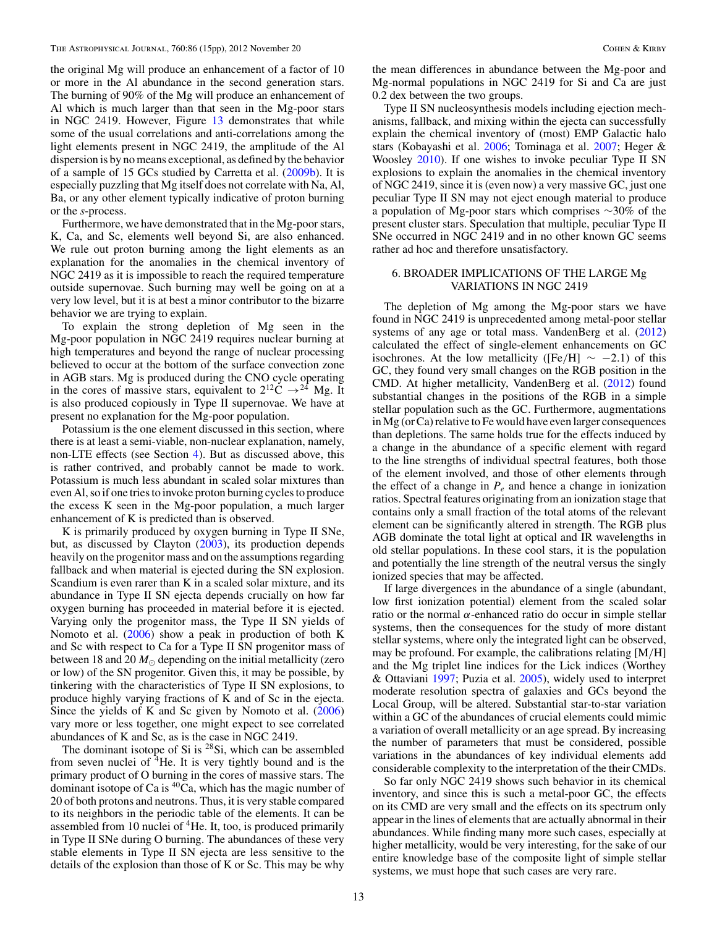the original Mg will produce an enhancement of a factor of 10 or more in the Al abundance in the second generation stars. The burning of 90% of the Mg will produce an enhancement of Al which is much larger than that seen in the Mg-poor stars in NGC 2419. However, Figure [13](#page-11-0) demonstrates that while some of the usual correlations and anti-correlations among the light elements present in NGC 2419, the amplitude of the Al dispersion is by no means exceptional, as defined by the behavior of a sample of 15 GCs studied by Carretta et al. [\(2009b\)](#page-13-0). It is especially puzzling that Mg itself does not correlate with Na, Al, Ba, or any other element typically indicative of proton burning or the *s*-process.

Furthermore, we have demonstrated that in the Mg-poor stars, K, Ca, and Sc, elements well beyond Si, are also enhanced. We rule out proton burning among the light elements as an explanation for the anomalies in the chemical inventory of NGC 2419 as it is impossible to reach the required temperature outside supernovae. Such burning may well be going on at a very low level, but it is at best a minor contributor to the bizarre behavior we are trying to explain.

To explain the strong depletion of Mg seen in the Mg-poor population in NGC 2419 requires nuclear burning at high temperatures and beyond the range of nuclear processing believed to occur at the bottom of the surface convection zone in AGB stars. Mg is produced during the CNO cycle operating in the cores of massive stars, equivalent to  $2^{12}C \rightarrow ^{24}Mg$ . It is also produced copiously in Type II supernovae. We have at present no explanation for the Mg-poor population.

Potassium is the one element discussed in this section, where there is at least a semi-viable, non-nuclear explanation, namely, non-LTE effects (see Section [4\)](#page-7-0). But as discussed above, this is rather contrived, and probably cannot be made to work. Potassium is much less abundant in scaled solar mixtures than even Al, so if one tries to invoke proton burning cycles to produce the excess K seen in the Mg-poor population, a much larger enhancement of K is predicted than is observed.

K is primarily produced by oxygen burning in Type II SNe, but, as discussed by Clayton [\(2003\)](#page-13-0), its production depends heavily on the progenitor mass and on the assumptions regarding fallback and when material is ejected during the SN explosion. Scandium is even rarer than K in a scaled solar mixture, and its abundance in Type II SN ejecta depends crucially on how far oxygen burning has proceeded in material before it is ejected. Varying only the progenitor mass, the Type II SN yields of Nomoto et al. [\(2006\)](#page-14-0) show a peak in production of both K and Sc with respect to Ca for a Type II SN progenitor mass of between 18 and 20  $M_{\odot}$  depending on the initial metallicity (zero or low) of the SN progenitor. Given this, it may be possible, by tinkering with the characteristics of Type II SN explosions, to produce highly varying fractions of K and of Sc in the ejecta. Since the yields of K and Sc given by Nomoto et al. [\(2006\)](#page-14-0) vary more or less together, one might expect to see correlated abundances of K and Sc, as is the case in NGC 2419.

The dominant isotope of Si is  $28Si$ , which can be assembled from seven nuclei of  ${}^{4}$ He. It is very tightly bound and is the primary product of O burning in the cores of massive stars. The dominant isotope of Ca is  ${}^{40}Ca$ , which has the magic number of 20 of both protons and neutrons. Thus, it is very stable compared to its neighbors in the periodic table of the elements. It can be assembled from 10 nuclei of  ${}^{4}$ He. It, too, is produced primarily in Type II SNe during O burning. The abundances of these very stable elements in Type II SN ejecta are less sensitive to the details of the explosion than those of K or Sc. This may be why the mean differences in abundance between the Mg-poor and Mg-normal populations in NGC 2419 for Si and Ca are just 0.2 dex between the two groups.

Type II SN nucleosynthesis models including ejection mechanisms, fallback, and mixing within the ejecta can successfully explain the chemical inventory of (most) EMP Galactic halo stars (Kobayashi et al. [2006;](#page-14-0) Tominaga et al. [2007;](#page-14-0) Heger & Woosley [2010\)](#page-14-0). If one wishes to invoke peculiar Type II SN explosions to explain the anomalies in the chemical inventory of NGC 2419, since it is (even now) a very massive GC, just one peculiar Type II SN may not eject enough material to produce a population of Mg-poor stars which comprises ∼30% of the present cluster stars. Speculation that multiple, peculiar Type II SNe occurred in NGC 2419 and in no other known GC seems rather ad hoc and therefore unsatisfactory.

## 6. BROADER IMPLICATIONS OF THE LARGE Mg VARIATIONS IN NGC 2419

The depletion of Mg among the Mg-poor stars we have found in NGC 2419 is unprecedented among metal-poor stellar systems of any age or total mass. VandenBerg et al.  $(2012)$ calculated the effect of single-element enhancements on GC isochrones. At the low metallicity ( $[Fe/H] \sim -2.1$ ) of this GC, they found very small changes on the RGB position in the CMD. At higher metallicity, VandenBerg et al. [\(2012\)](#page-14-0) found substantial changes in the positions of the RGB in a simple stellar population such as the GC. Furthermore, augmentations in Mg (or Ca) relative to Fe would have even larger consequences than depletions. The same holds true for the effects induced by a change in the abundance of a specific element with regard to the line strengths of individual spectral features, both those of the element involved, and those of other elements through the effect of a change in  $P_e$  and hence a change in ionization ratios. Spectral features originating from an ionization stage that contains only a small fraction of the total atoms of the relevant element can be significantly altered in strength. The RGB plus AGB dominate the total light at optical and IR wavelengths in old stellar populations. In these cool stars, it is the population and potentially the line strength of the neutral versus the singly ionized species that may be affected.

If large divergences in the abundance of a single (abundant, low first ionization potential) element from the scaled solar ratio or the normal *α*-enhanced ratio do occur in simple stellar systems, then the consequences for the study of more distant stellar systems, where only the integrated light can be observed, may be profound. For example, the calibrations relating [M*/*H] and the Mg triplet line indices for the Lick indices (Worthey & Ottaviani [1997;](#page-14-0) Puzia et al. [2005\)](#page-14-0), widely used to interpret moderate resolution spectra of galaxies and GCs beyond the Local Group, will be altered. Substantial star-to-star variation within a GC of the abundances of crucial elements could mimic a variation of overall metallicity or an age spread. By increasing the number of parameters that must be considered, possible variations in the abundances of key individual elements add considerable complexity to the interpretation of the their CMDs.

So far only NGC 2419 shows such behavior in its chemical inventory, and since this is such a metal-poor GC, the effects on its CMD are very small and the effects on its spectrum only appear in the lines of elements that are actually abnormal in their abundances. While finding many more such cases, especially at higher metallicity, would be very interesting, for the sake of our entire knowledge base of the composite light of simple stellar systems, we must hope that such cases are very rare.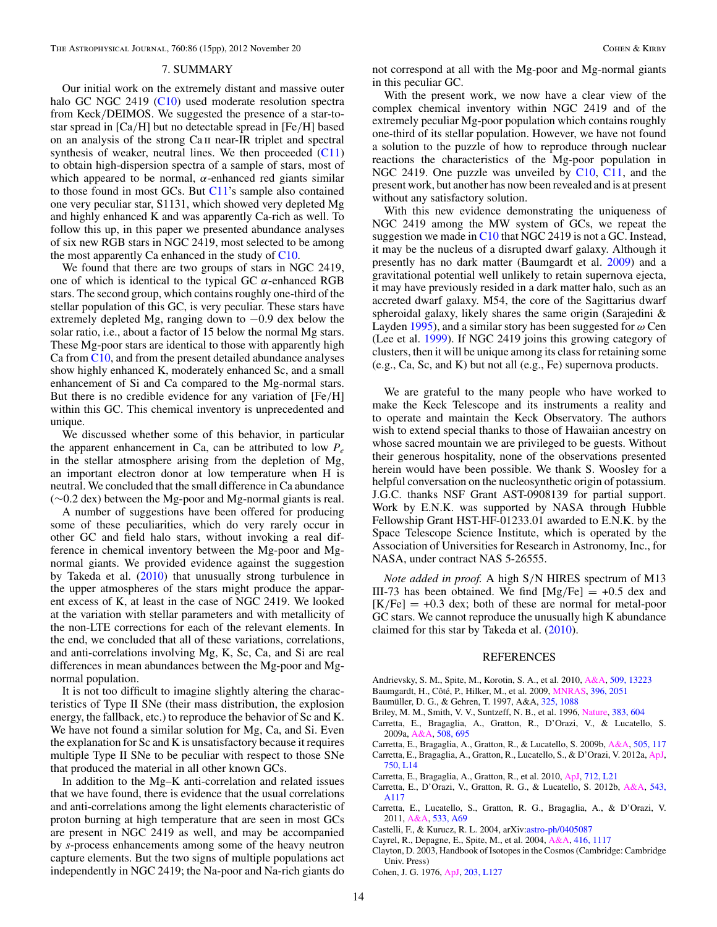#### 7. SUMMARY

<span id="page-13-0"></span>Our initial work on the extremely distant and massive outer halo GC NGC 2419 [\(C10\)](#page-14-0) used moderate resolution spectra from Keck*/*DEIMOS. We suggested the presence of a star-tostar spread in [Ca*/*H] but no detectable spread in [Fe*/*H] based on an analysis of the strong Ca ii near-IR triplet and spectral synthesis of weaker, neutral lines. We then proceeded  $(C11)$ to obtain high-dispersion spectra of a sample of stars, most of which appeared to be normal,  $\alpha$ -enhanced red giants similar to those found in most GCs. But [C11'](#page-14-0)s sample also contained one very peculiar star, S1131, which showed very depleted Mg and highly enhanced K and was apparently Ca-rich as well. To follow this up, in this paper we presented abundance analyses of six new RGB stars in NGC 2419, most selected to be among the most apparently Ca enhanced in the study of [C10.](#page-14-0)

We found that there are two groups of stars in NGC 2419, one of which is identical to the typical GC *α*-enhanced RGB stars. The second group, which contains roughly one-third of the stellar population of this GC, is very peculiar. These stars have extremely depleted Mg, ranging down to −0*.*9 dex below the solar ratio, i.e., about a factor of 15 below the normal Mg stars. These Mg-poor stars are identical to those with apparently high Ca from [C10,](#page-14-0) and from the present detailed abundance analyses show highly enhanced K, moderately enhanced Sc, and a small enhancement of Si and Ca compared to the Mg-normal stars. But there is no credible evidence for any variation of [Fe*/*H] within this GC. This chemical inventory is unprecedented and unique.

We discussed whether some of this behavior, in particular the apparent enhancement in Ca, can be attributed to low  $P_e$ in the stellar atmosphere arising from the depletion of Mg, an important electron donor at low temperature when H is neutral. We concluded that the small difference in Ca abundance (∼0.2 dex) between the Mg-poor and Mg-normal giants is real.

A number of suggestions have been offered for producing some of these peculiarities, which do very rarely occur in other GC and field halo stars, without invoking a real difference in chemical inventory between the Mg-poor and Mgnormal giants. We provided evidence against the suggestion by Takeda et al. [\(2010\)](#page-14-0) that unusually strong turbulence in the upper atmospheres of the stars might produce the apparent excess of K, at least in the case of NGC 2419. We looked at the variation with stellar parameters and with metallicity of the non-LTE corrections for each of the relevant elements. In the end, we concluded that all of these variations, correlations, and anti-correlations involving Mg, K, Sc, Ca, and Si are real differences in mean abundances between the Mg-poor and Mgnormal population.

It is not too difficult to imagine slightly altering the characteristics of Type II SNe (their mass distribution, the explosion energy, the fallback, etc.) to reproduce the behavior of Sc and K. We have not found a similar solution for Mg, Ca, and Si. Even the explanation for Sc and K is unsatisfactory because it requires multiple Type II SNe to be peculiar with respect to those SNe that produced the material in all other known GCs.

In addition to the Mg–K anti-correlation and related issues that we have found, there is evidence that the usual correlations and anti-correlations among the light elements characteristic of proton burning at high temperature that are seen in most GCs are present in NGC 2419 as well, and may be accompanied by *s*-process enhancements among some of the heavy neutron capture elements. But the two signs of multiple populations act independently in NGC 2419; the Na-poor and Na-rich giants do

not correspond at all with the Mg-poor and Mg-normal giants in this peculiar GC.

With the present work, we now have a clear view of the complex chemical inventory within NGC 2419 and of the extremely peculiar Mg-poor population which contains roughly one-third of its stellar population. However, we have not found a solution to the puzzle of how to reproduce through nuclear reactions the characteristics of the Mg-poor population in NGC 2419. One puzzle was unveiled by  $C10$ ,  $C11$ , and the present work, but another has now been revealed and is at present without any satisfactory solution.

With this new evidence demonstrating the uniqueness of NGC 2419 among the MW system of GCs, we repeat the suggestion we made in [C10](#page-14-0) that NGC 2419 is not a GC. Instead, it may be the nucleus of a disrupted dwarf galaxy. Although it presently has no dark matter (Baumgardt et al. 2009) and a gravitational potential well unlikely to retain supernova ejecta, it may have previously resided in a dark matter halo, such as an accreted dwarf galaxy. M54, the core of the Sagittarius dwarf spheroidal galaxy, likely shares the same origin (Sarajedini & Layden [1995\)](#page-14-0), and a similar story has been suggested for *ω* Cen (Lee et al. [1999\)](#page-14-0). If NGC 2419 joins this growing category of clusters, then it will be unique among its class for retaining some (e.g., Ca, Sc, and K) but not all (e.g., Fe) supernova products.

We are grateful to the many people who have worked to make the Keck Telescope and its instruments a reality and to operate and maintain the Keck Observatory. The authors wish to extend special thanks to those of Hawaiian ancestry on whose sacred mountain we are privileged to be guests. Without their generous hospitality, none of the observations presented herein would have been possible. We thank S. Woosley for a helpful conversation on the nucleosynthetic origin of potassium. J.G.C. thanks NSF Grant AST-0908139 for partial support. Work by E.N.K. was supported by NASA through Hubble Fellowship Grant HST-HF-01233.01 awarded to E.N.K. by the Space Telescope Science Institute, which is operated by the Association of Universities for Research in Astronomy, Inc., for NASA, under contract NAS 5-26555.

*Note added in proof.* A high S*/*N HIRES spectrum of M13 III-73 has been obtained. We find  $[Mg/Fe] = +0.5$  dex and  $[K/Fe] = +0.3$  dex; both of these are normal for metal-poor GC stars. We cannot reproduce the unusually high K abundance claimed for this star by Takeda et al. [\(2010\)](#page-14-0).

#### REFERENCES

- Andrievsky, S. M., Spite, M., Korotin, S. A., et al. 2010, [A&A,](http://dx.doi.org/10.1051/0004-6361/200913223) [509, 13223](http://adsabs.harvard.edu/abs/2010A&A...509A..88A)
- Baumgardt, H., Côté, P., Hilker, M., et al. 2009, *MNRAS*, [396, 2051](http://adsabs.harvard.edu/abs/2009MNRAS.396.2051B)
- Baumüller, D. G., & Gehren, T. 1997, A&A, [325, 1088](http://adsabs.harvard.edu/abs/1997A&A...325.1088B)
- Briley, M. M., Smith, V. V., Suntzeff, N. B., et al. 1996, [Nature,](http://dx.doi.org/10.1038/383604a0) [383, 604](http://adsabs.harvard.edu/abs/1996Natur.383..604B)
- Carretta, E., Bragaglia, A., Gratton, R., D'Orazi, V., & Lucatello, S. 2009a, [A&A,](http://dx.doi.org/10.1051/0004-6361/200913003) [508, 695](http://adsabs.harvard.edu/abs/2009A&A...508..695C)
- Carretta, E., Bragaglia, A., Gratton, R., & Lucatello, S. 2009b, [A&A,](http://dx.doi.org/10.1051/0004-6361/200912096) [505, 117](http://adsabs.harvard.edu/abs/2009A&A...505..117C)
- Carretta, E., Bragaglia, A., Gratton, R., Lucatello, S., & D'Orazi, V. 2012a, [ApJ,](http://dx.doi.org/10.1088/2041-8205/750/1/L14) [750, L14](http://adsabs.harvard.edu/abs/2012ApJ...750L..14C)
- Carretta, E., Bragaglia, A., Gratton, R., et al. 2010, [ApJ,](http://dx.doi.org/10.1088/2041-8205/712/1/L21) [712, L21](http://adsabs.harvard.edu/abs/2010ApJ...712L..21C)
- Carretta, E., D'Orazi, V., Gratton, R. G., & Lucatello, S. 2012b, [A&A,](http://dx.doi.org/10.1051/0004-6361/201219277) [543,](http://adsabs.harvard.edu/abs/2012A&A...543A.117C)
- [A117](http://adsabs.harvard.edu/abs/2012A&A...543A.117C) Carretta, E., Lucatello, S., Gratton, R. G., Bragaglia, A., & D'Orazi, V. 2011, [A&A,](http://dx.doi.org/10.1051/0004-6361/201117269) [533, A69](http://adsabs.harvard.edu/abs/2011A&A...533A..69C)
- Castelli, F., & Kurucz, R. L. 2004, arXiv[:astro-ph/0405087](http://www.arxiv.org/abs/astro-ph/0405087)
- Cayrel, R., Depagne, E., Spite, M., et al. 2004, [A&A,](http://dx.doi.org/10.1051/0004-6361:20034074) [416, 1117](http://adsabs.harvard.edu/abs/2004A&A...416.1117C)
- Clayton, D. 2003, Handbook of Isotopes in the Cosmos (Cambridge: Cambridge Univ. Press)
- Cohen, J. G. 1976, [ApJ,](http://dx.doi.org/10.1086/182035) [203, L127](http://adsabs.harvard.edu/abs/1976ApJ...203L.127C)